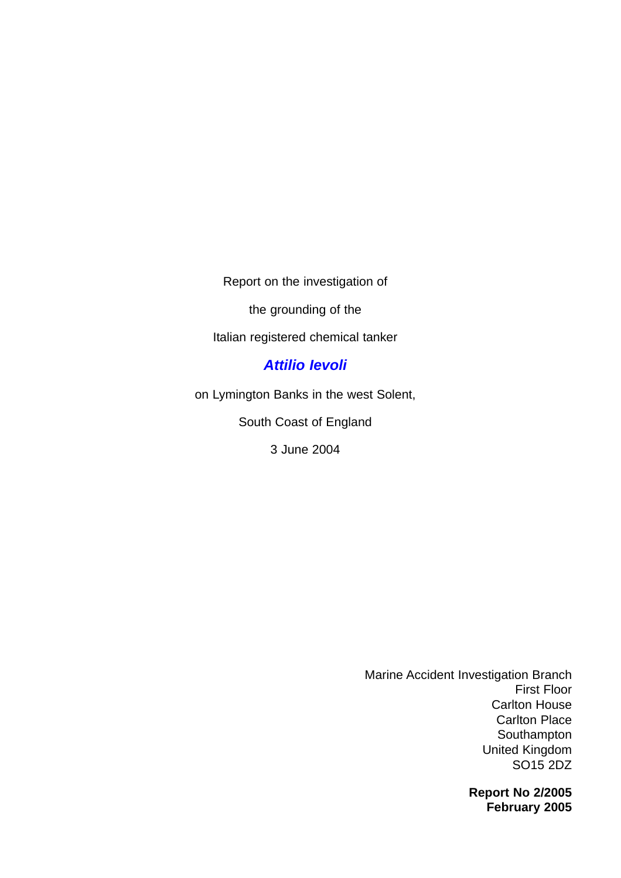Report on the investigation of

the grounding of the

Italian registered chemical tanker

# *[Attilio Ievoli](#page-2-0)*

on Lymington Banks in the west Solent,

South Coast of England

3 June 2004

Marine Accident Investigation Branch First Floor Carlton House Carlton Place Southampton United Kingdom SO15 2DZ

> **Report No 2/2005 February 2005**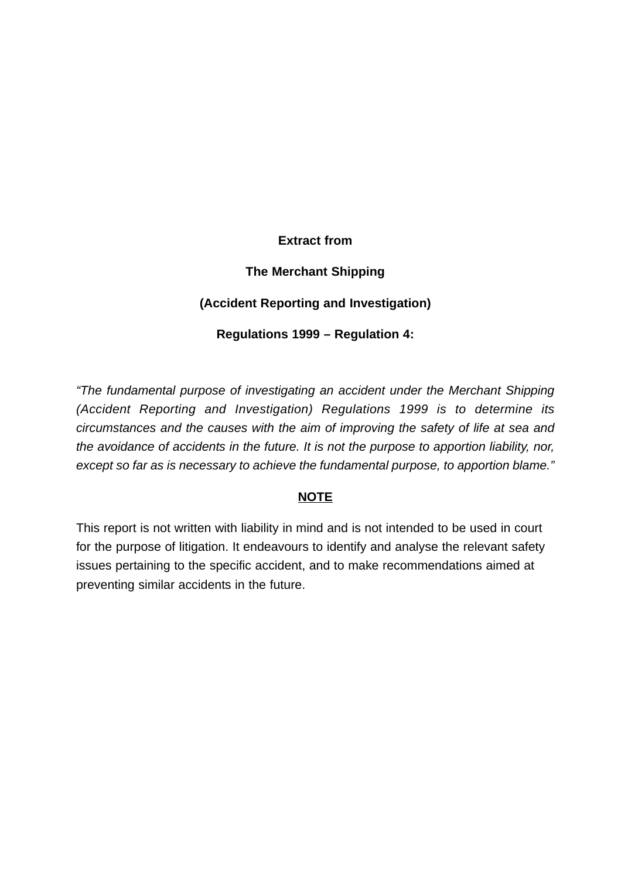# **Extract from**

# **The Merchant Shipping**

# **(Accident Reporting and Investigation)**

## **Regulations 1999 – Regulation 4:**

*"The fundamental purpose of investigating an accident under the Merchant Shipping (Accident Reporting and Investigation) Regulations 1999 is to determine its circumstances and the causes with the aim of improving the safety of life at sea and the avoidance of accidents in the future. It is not the purpose to apportion liability, nor, except so far as is necessary to achieve the fundamental purpose, to apportion blame."*

## **NOTE**

This report is not written with liability in mind and is not intended to be used in court for the purpose of litigation. It endeavours to identify and analyse the relevant safety issues pertaining to the specific accident, and to make recommendations aimed at preventing similar accidents in the future.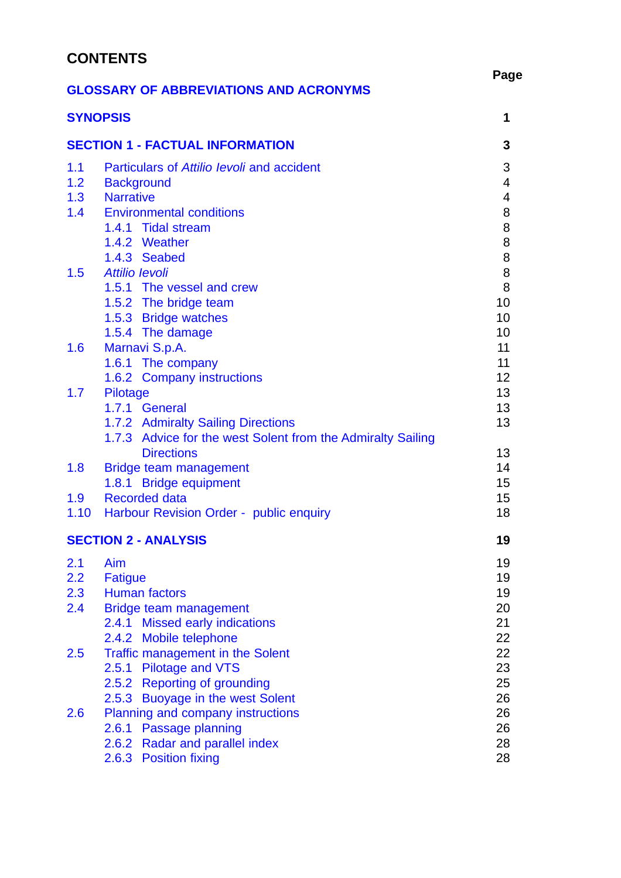# <span id="page-2-0"></span>**CONTENTS**

|      | <b>GLOSSARY OF ABBREVIATIONS AND ACRONYMS</b>               |                          |
|------|-------------------------------------------------------------|--------------------------|
|      | <b>SYNOPSIS</b>                                             | 1                        |
|      | <b>SECTION 1 - FACTUAL INFORMATION</b>                      | 3                        |
| 1.1  | Particulars of Attilio levoli and accident                  | 3                        |
| 1.2  | <b>Background</b>                                           | $\overline{4}$           |
| 1.3  | <b>Narrative</b>                                            | $\overline{\mathcal{A}}$ |
| 1.4  | <b>Environmental conditions</b>                             | 8                        |
|      | 1.4.1 Tidal stream                                          | $\bf 8$                  |
|      | 1.4.2 Weather                                               | $\bf 8$                  |
|      | 1.4.3 Seabed<br><b>Attilio levoli</b>                       | $\bf 8$                  |
| 1.5  | 1.5.1 The vessel and crew                                   | 8<br>8                   |
|      | 1.5.2 The bridge team                                       | 10                       |
|      | 1.5.3 Bridge watches                                        | 10                       |
|      | 1.5.4 The damage                                            | 10                       |
| 1.6  | Marnavi S.p.A.                                              | 11                       |
|      | 1.6.1 The company                                           | 11                       |
|      | 1.6.2 Company instructions                                  | 12                       |
| 1.7  | Pilotage                                                    | 13                       |
|      | 1.7.1 General                                               | 13                       |
|      | 1.7.2 Admiralty Sailing Directions                          | 13                       |
|      | 1.7.3 Advice for the west Solent from the Admiralty Sailing |                          |
|      | <b>Directions</b>                                           | 13                       |
| 1.8  | Bridge team management                                      | 14                       |
|      | 1.8.1 Bridge equipment                                      | 15                       |
| 1.9  | <b>Recorded data</b>                                        | 15                       |
| 1.10 | Harbour Revision Order - public enquiry                     | 18                       |
|      | <b>SECTION 2 - ANALYSIS</b>                                 | 19                       |
| 2.1  | Aim                                                         | 19                       |
| 2.2  | <b>Fatigue</b>                                              | 19                       |
| 2.3  | <b>Human factors</b>                                        | 19                       |
| 2.4  | <b>Bridge team management</b>                               | 20                       |
|      | 2.4.1 Missed early indications                              | 21                       |
|      | Mobile telephone<br>2.4.2                                   | 22                       |
| 2.5  | <b>Traffic management in the Solent</b>                     | 22                       |
|      | 2.5.1 Pilotage and VTS                                      | 23                       |
|      | 2.5.2 Reporting of grounding                                | 25                       |
|      | 2.5.3 Buoyage in the west Solent                            | 26                       |
| 2.6  | Planning and company instructions                           | 26                       |
|      | 2.6.1 Passage planning                                      | 26                       |
|      | 2.6.2 Radar and parallel index                              | 28                       |
|      | 2.6.3 Position fixing                                       | 28                       |

**Page**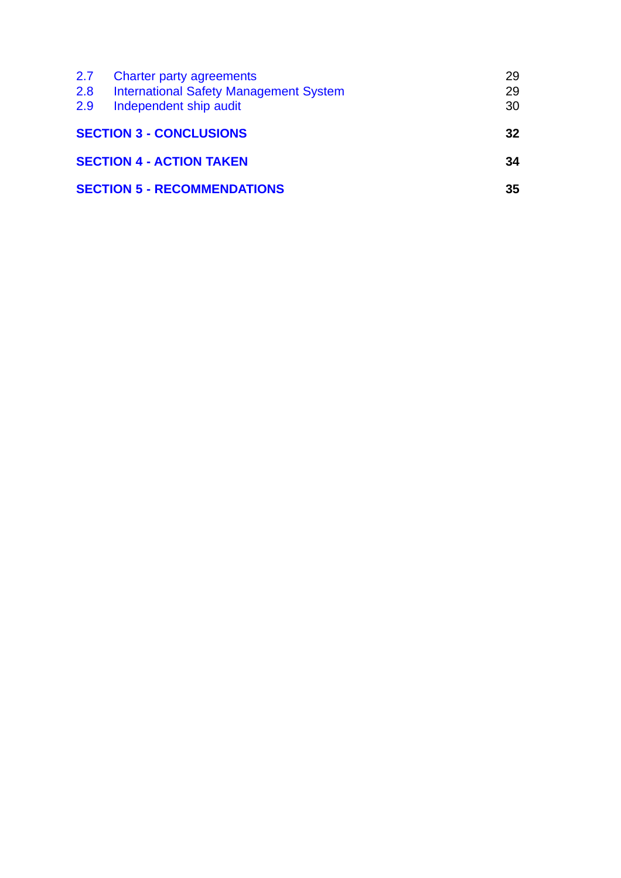<span id="page-3-0"></span>

| 2.7<br>2.8<br>2.9                  | <b>Charter party agreements</b><br><b>International Safety Management System</b><br>Independent ship audit | 29<br>29<br>30 |
|------------------------------------|------------------------------------------------------------------------------------------------------------|----------------|
| <b>SECTION 3 - CONCLUSIONS</b>     |                                                                                                            |                |
| <b>SECTION 4 - ACTION TAKEN</b>    |                                                                                                            |                |
| <b>SECTION 5 - RECOMMENDATIONS</b> |                                                                                                            |                |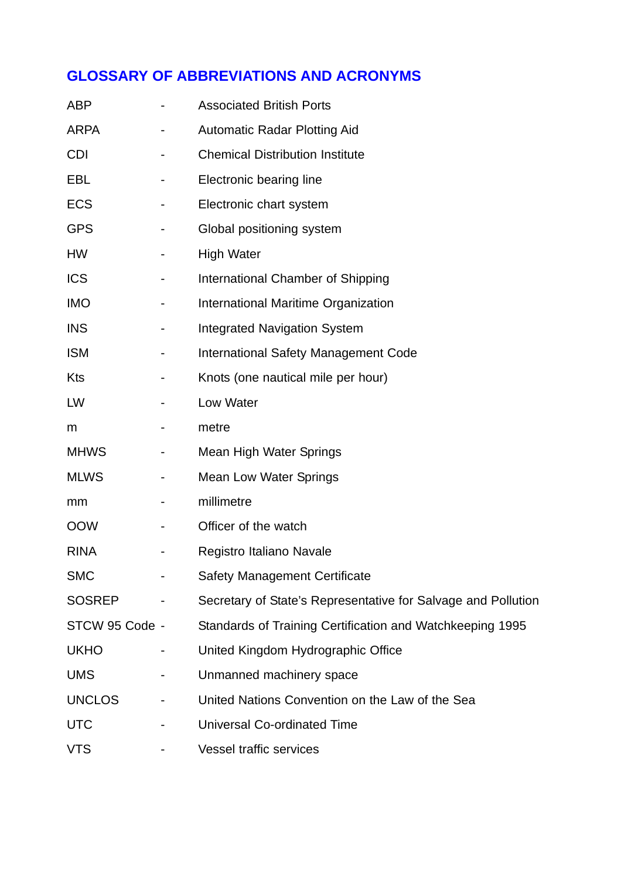# <span id="page-4-0"></span>**GLOSSARY [OF ABBREVIATIONS AND ACRONYMS](#page-2-0)**

| <b>ABP</b>     |                          | <b>Associated British Ports</b>                               |  |  |
|----------------|--------------------------|---------------------------------------------------------------|--|--|
| <b>ARPA</b>    | $\overline{\phantom{0}}$ | <b>Automatic Radar Plotting Aid</b>                           |  |  |
| <b>CDI</b>     |                          | <b>Chemical Distribution Institute</b>                        |  |  |
| <b>EBL</b>     |                          | Electronic bearing line                                       |  |  |
| <b>ECS</b>     |                          | Electronic chart system                                       |  |  |
| <b>GPS</b>     |                          | Global positioning system                                     |  |  |
| HW             |                          | <b>High Water</b>                                             |  |  |
| <b>ICS</b>     |                          | International Chamber of Shipping                             |  |  |
| <b>IMO</b>     |                          | International Maritime Organization                           |  |  |
| <b>INS</b>     | ۰                        | <b>Integrated Navigation System</b>                           |  |  |
| <b>ISM</b>     | ۰                        | International Safety Management Code                          |  |  |
| <b>Kts</b>     | $\overline{\phantom{a}}$ | Knots (one nautical mile per hour)                            |  |  |
| LW             | ۰                        | Low Water                                                     |  |  |
| m              | ۰                        | metre                                                         |  |  |
| <b>MHWS</b>    | ۰                        | Mean High Water Springs                                       |  |  |
| <b>MLWS</b>    | ۰                        | <b>Mean Low Water Springs</b>                                 |  |  |
| mm             |                          | millimetre                                                    |  |  |
| <b>OOW</b>     |                          | Officer of the watch                                          |  |  |
| <b>RINA</b>    |                          | Registro Italiano Navale                                      |  |  |
| <b>SMC</b>     |                          | <b>Safety Management Certificate</b>                          |  |  |
| <b>SOSREP</b>  |                          | Secretary of State's Representative for Salvage and Pollution |  |  |
| STCW 95 Code - |                          | Standards of Training Certification and Watchkeeping 1995     |  |  |
| <b>UKHO</b>    |                          | United Kingdom Hydrographic Office                            |  |  |
| <b>UMS</b>     |                          | Unmanned machinery space                                      |  |  |
| <b>UNCLOS</b>  |                          | United Nations Convention on the Law of the Sea               |  |  |
| <b>UTC</b>     |                          | <b>Universal Co-ordinated Time</b>                            |  |  |
| <b>VTS</b>     |                          | <b>Vessel traffic services</b>                                |  |  |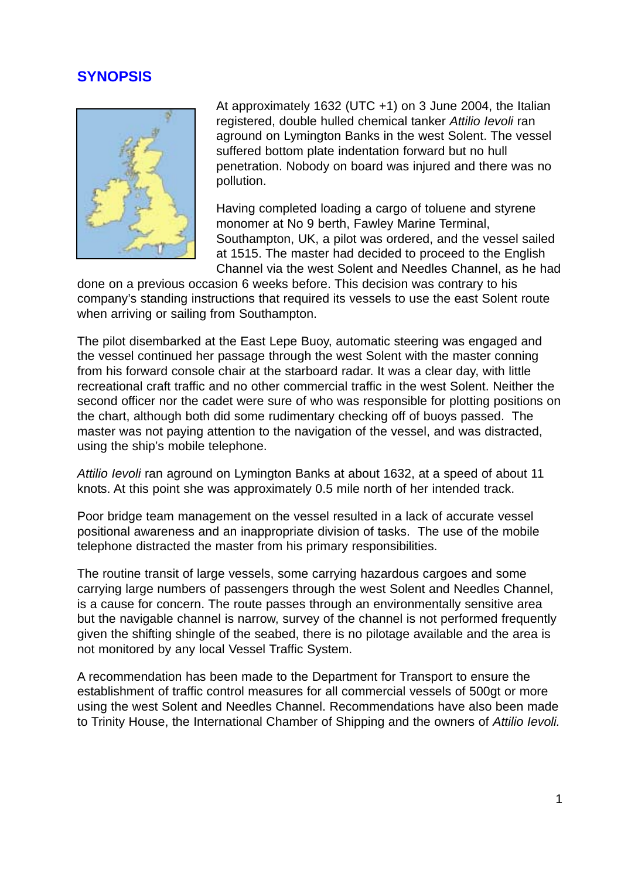# <span id="page-5-0"></span>**[SYNOPSIS](#page-2-0)**



At approximately 1632 (UTC +1) on 3 June 2004, the Italian registered, double hulled chemical tanker *Attilio Ievoli* ran aground on Lymington Banks in the west Solent. The vessel suffered bottom plate indentation forward but no hull penetration. Nobody on board was injured and there was no pollution.

Having completed loading a cargo of toluene and styrene monomer at No 9 berth, Fawley Marine Terminal, Southampton, UK, a pilot was ordered, and the vessel sailed at 1515. The master had decided to proceed to the English Channel via the west Solent and Needles Channel, as he had

done on a previous occasion 6 weeks before. This decision was contrary to his company's standing instructions that required its vessels to use the east Solent route when arriving or sailing from Southampton.

The pilot disembarked at the East Lepe Buoy, automatic steering was engaged and the vessel continued her passage through the west Solent with the master conning from his forward console chair at the starboard radar. It was a clear day, with little recreational craft traffic and no other commercial traffic in the west Solent. Neither the second officer nor the cadet were sure of who was responsible for plotting positions on the chart, although both did some rudimentary checking off of buoys passed. The master was not paying attention to the navigation of the vessel, and was distracted, using the ship's mobile telephone.

*Attilio Ievoli* ran aground on Lymington Banks at about 1632, at a speed of about 11 knots. At this point she was approximately 0.5 mile north of her intended track.

Poor bridge team management on the vessel resulted in a lack of accurate vessel positional awareness and an inappropriate division of tasks. The use of the mobile telephone distracted the master from his primary responsibilities.

The routine transit of large vessels, some carrying hazardous cargoes and some carrying large numbers of passengers through the west Solent and Needles Channel, is a cause for concern. The route passes through an environmentally sensitive area but the navigable channel is narrow, survey of the channel is not performed frequently given the shifting shingle of the seabed, there is no pilotage available and the area is not monitored by any local Vessel Traffic System.

A recommendation has been made to the Department for Transport to ensure the establishment of traffic control measures for all commercial vessels of 500gt or more using the west Solent and Needles Channel. Recommendations have also been made to Trinity House, the International Chamber of Shipping and the owners of *Attilio Ievoli.*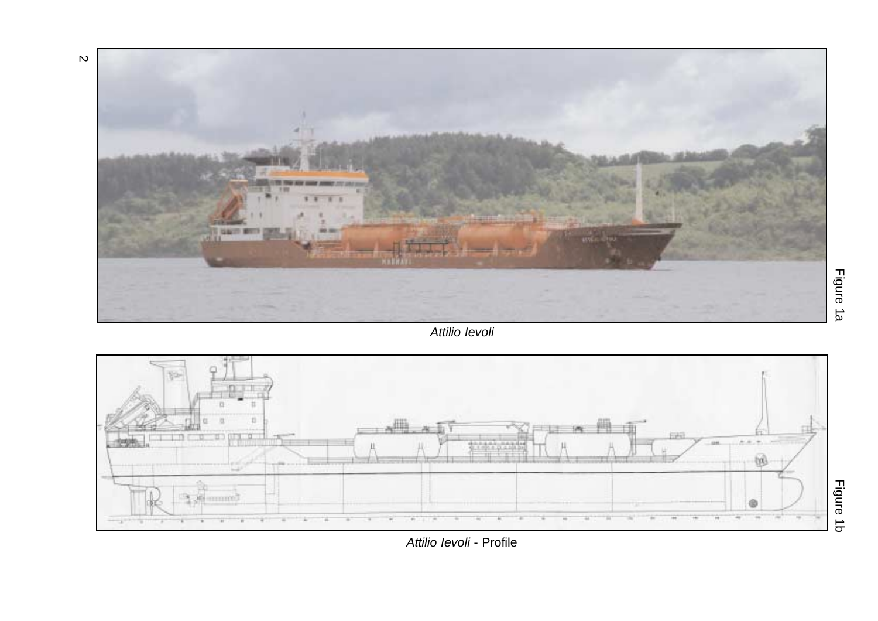

*Attilio Ievoli*



*Attilio Ievoli* - Profile

 $\overline{v}$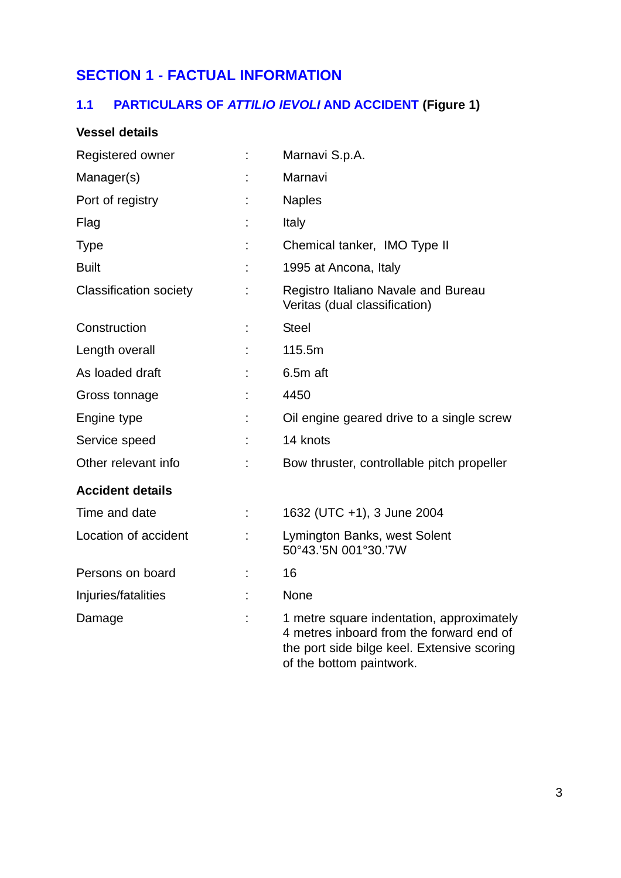# <span id="page-7-0"></span>**[SECTION 1 - FACTUAL](#page-2-0) INFORMATION**

# **1.1 PARTICULARS OF** *ATTILIO IEVOLI* **AND ACCIDENT (Figure 1)**

| <b>Vessel details</b>         |   |                                                                                                                                                                  |
|-------------------------------|---|------------------------------------------------------------------------------------------------------------------------------------------------------------------|
| Registered owner              |   | Marnavi S.p.A.                                                                                                                                                   |
| Manager(s)                    |   | Marnavi                                                                                                                                                          |
| Port of registry              |   | <b>Naples</b>                                                                                                                                                    |
| Flag                          |   | Italy                                                                                                                                                            |
| <b>Type</b>                   |   | Chemical tanker, IMO Type II                                                                                                                                     |
| <b>Built</b>                  |   | 1995 at Ancona, Italy                                                                                                                                            |
| <b>Classification society</b> |   | Registro Italiano Navale and Bureau<br>Veritas (dual classification)                                                                                             |
| Construction                  |   | <b>Steel</b>                                                                                                                                                     |
| Length overall                |   | 115.5m                                                                                                                                                           |
| As loaded draft               |   | 6.5m aft                                                                                                                                                         |
| Gross tonnage                 |   | 4450                                                                                                                                                             |
| Engine type                   |   | Oil engine geared drive to a single screw                                                                                                                        |
| Service speed                 |   | 14 knots                                                                                                                                                         |
| Other relevant info           |   | Bow thruster, controllable pitch propeller                                                                                                                       |
| <b>Accident details</b>       |   |                                                                                                                                                                  |
| Time and date                 | ÷ | 1632 (UTC +1), 3 June 2004                                                                                                                                       |
| Location of accident          |   | Lymington Banks, west Solent<br>50°43.'5N 001°30.'7W                                                                                                             |
| Persons on board              |   | 16                                                                                                                                                               |
| Injuries/fatalities           |   | None                                                                                                                                                             |
| Damage                        |   | 1 metre square indentation, approximately<br>4 metres inboard from the forward end of<br>the port side bilge keel. Extensive scoring<br>of the bottom paintwork. |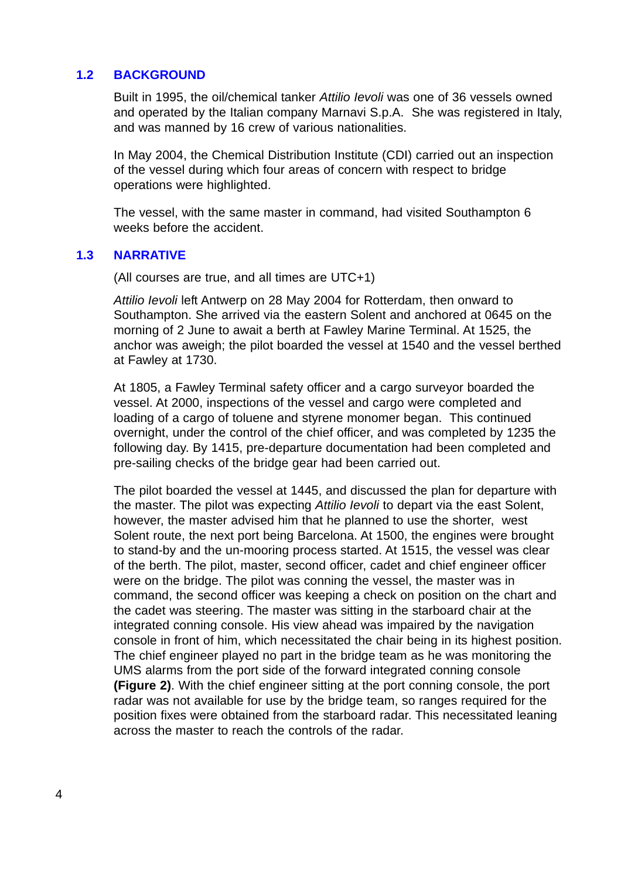## <span id="page-8-0"></span>**1.2 [BACKGROUND](#page-2-0)**

Built in 1995, the oil/chemical tanker *Attilio Ievoli* was one of 36 vessels owned and operated by the Italian company Marnavi S.p.A. She was registered in Italy, and was manned by 16 crew of various nationalities.

In May 2004, the Chemical Distribution Institute (CDI) carried out an inspection of the vessel during which four areas of concern with respect to bridge operations were highlighted.

The vessel, with the same master in command, had visited Southampton 6 weeks before the accident.

#### **1.3 [NARRATIVE](#page-2-0)**

(All courses are true, and all times are UTC+1)

*Attilio Ievoli* left Antwerp on 28 May 2004 for Rotterdam, then onward to Southampton. She arrived via the eastern Solent and anchored at 0645 on the morning of 2 June to await a berth at Fawley Marine Terminal. At 1525, the anchor was aweigh; the pilot boarded the vessel at 1540 and the vessel berthed at Fawley at 1730.

At 1805, a Fawley Terminal safety officer and a cargo surveyor boarded the vessel. At 2000, inspections of the vessel and cargo were completed and loading of a cargo of toluene and styrene monomer began. This continued overnight, under the control of the chief officer, and was completed by 1235 the following day. By 1415, pre-departure documentation had been completed and pre-sailing checks of the bridge gear had been carried out.

The pilot boarded the vessel at 1445, and discussed the plan for departure with the master. The pilot was expecting *Attilio Ievoli* to depart via the east Solent, however, the master advised him that he planned to use the shorter, west Solent route, the next port being Barcelona. At 1500, the engines were brought to stand-by and the un-mooring process started. At 1515, the vessel was clear of the berth. The pilot, master, second officer, cadet and chief engineer officer were on the bridge. The pilot was conning the vessel, the master was in command, the second officer was keeping a check on position on the chart and the cadet was steering. The master was sitting in the starboard chair at the integrated conning console. His view ahead was impaired by the navigation console in front of him, which necessitated the chair being in its highest position. The chief engineer played no part in the bridge team as he was monitoring the UMS alarms from the port side of the forward integrated conning console **(Figure 2)**. With the chief engineer sitting at the port conning console, the port radar was not available for use by the bridge team, so ranges required for the position fixes were obtained from the starboard radar. This necessitated leaning across the master to reach the controls of the radar.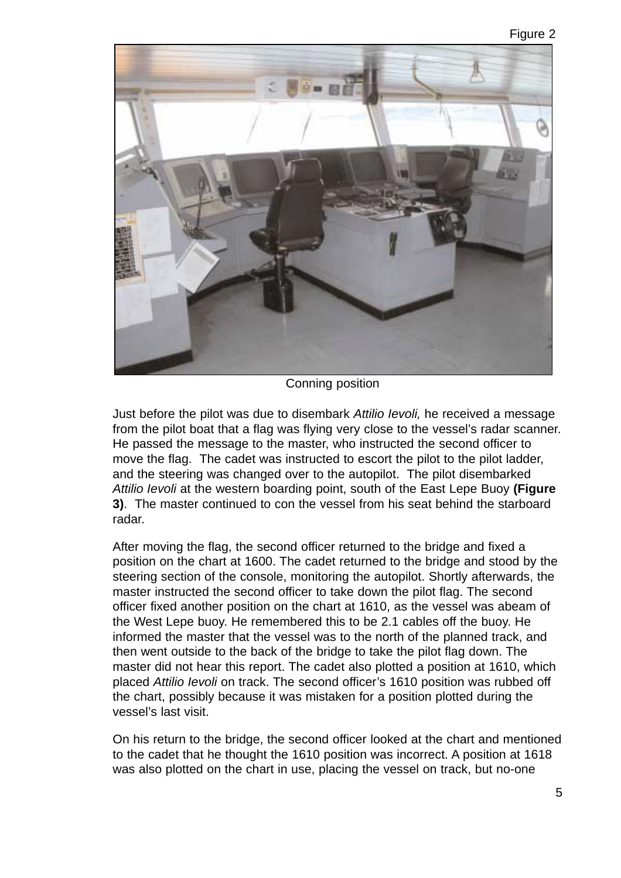

Conning position

Just before the pilot was due to disembark *Attilio Ievoli,* he received a message from the pilot boat that a flag was flying very close to the vessel's radar scanner. He passed the message to the master, who instructed the second officer to move the flag. The cadet was instructed to escort the pilot to the pilot ladder, and the steering was changed over to the autopilot. The pilot disembarked *Attilio Ievoli* at the western boarding point, south of the East Lepe Buoy **(Figure 3)**. The master continued to con the vessel from his seat behind the starboard radar.

After moving the flag, the second officer returned to the bridge and fixed a position on the chart at 1600. The cadet returned to the bridge and stood by the steering section of the console, monitoring the autopilot. Shortly afterwards, the master instructed the second officer to take down the pilot flag. The second officer fixed another position on the chart at 1610, as the vessel was abeam of the West Lepe buoy. He remembered this to be 2.1 cables off the buoy. He informed the master that the vessel was to the north of the planned track, and then went outside to the back of the bridge to take the pilot flag down. The master did not hear this report. The cadet also plotted a position at 1610, which placed *Attilio Ievoli* on track. The second officer's 1610 position was rubbed off the chart, possibly because it was mistaken for a position plotted during the vessel's last visit.

On his return to the bridge, the second officer looked at the chart and mentioned to the cadet that he thought the 1610 position was incorrect. A position at 1618 was also plotted on the chart in use, placing the vessel on track, but no-one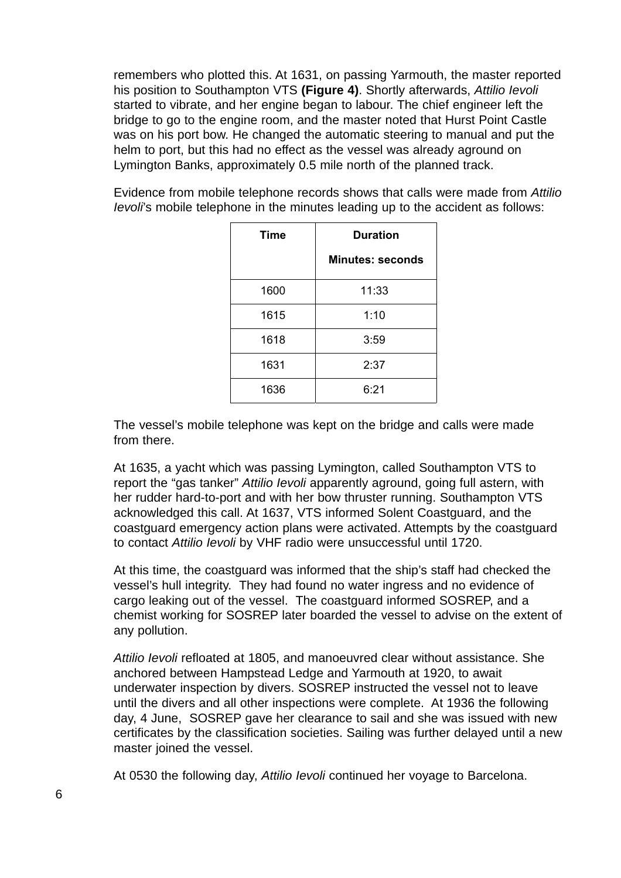remembers who plotted this. At 1631, on passing Yarmouth, the master reported his position to Southampton VTS **(Figure 4)**. Shortly afterwards, *Attilio Ievoli* started to vibrate, and her engine began to labour. The chief engineer left the bridge to go to the engine room, and the master noted that Hurst Point Castle was on his port bow. He changed the automatic steering to manual and put the helm to port, but this had no effect as the vessel was already aground on Lymington Banks, approximately 0.5 mile north of the planned track.

Evidence from mobile telephone records shows that calls were made from *Attilio Ievoli*'s mobile telephone in the minutes leading up to the accident as follows:

| <b>Time</b> | <b>Duration</b>         |  |  |
|-------------|-------------------------|--|--|
|             | <b>Minutes: seconds</b> |  |  |
| 1600        | 11:33                   |  |  |
| 1615        | 1:10                    |  |  |
| 1618        | 3:59                    |  |  |
| 1631        | 2:37                    |  |  |
| 1636        | 6:21                    |  |  |

The vessel's mobile telephone was kept on the bridge and calls were made from there.

At 1635, a yacht which was passing Lymington, called Southampton VTS to report the "gas tanker" *Attilio Ievoli* apparently aground, going full astern, with her rudder hard-to-port and with her bow thruster running. Southampton VTS acknowledged this call. At 1637, VTS informed Solent Coastguard, and the coastguard emergency action plans were activated. Attempts by the coastguard to contact *Attilio Ievoli* by VHF radio were unsuccessful until 1720.

At this time, the coastguard was informed that the ship's staff had checked the vessel's hull integrity. They had found no water ingress and no evidence of cargo leaking out of the vessel. The coastguard informed SOSREP, and a chemist working for SOSREP later boarded the vessel to advise on the extent of any pollution.

*Attilio Ievoli* refloated at 1805, and manoeuvred clear without assistance. She anchored between Hampstead Ledge and Yarmouth at 1920, to await underwater inspection by divers. SOSREP instructed the vessel not to leave until the divers and all other inspections were complete. At 1936 the following day, 4 June, SOSREP gave her clearance to sail and she was issued with new certificates by the classification societies. Sailing was further delayed until a new master joined the vessel.

At 0530 the following day, *Attilio Ievoli* continued her voyage to Barcelona.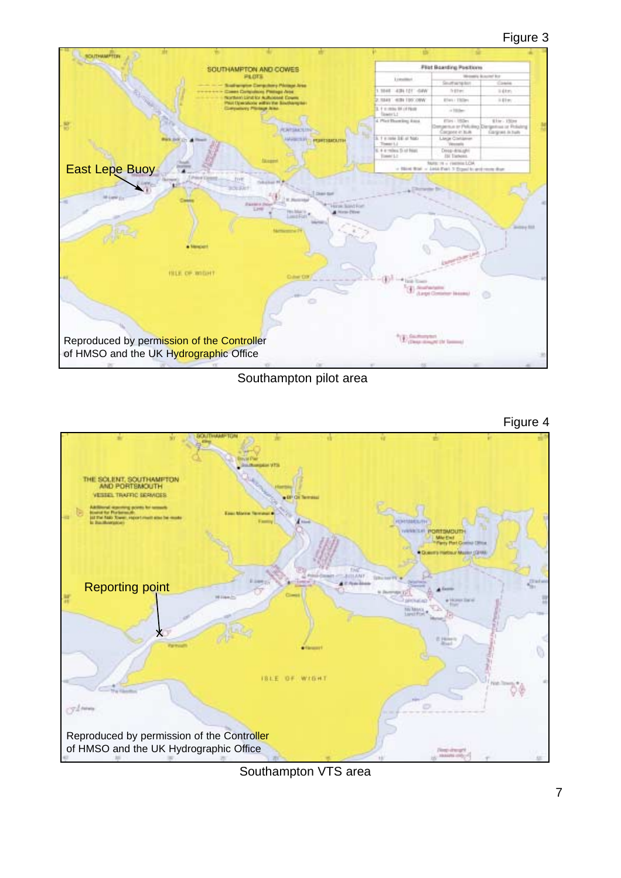# Figure 3



Southampton pilot area



Southampton VTS area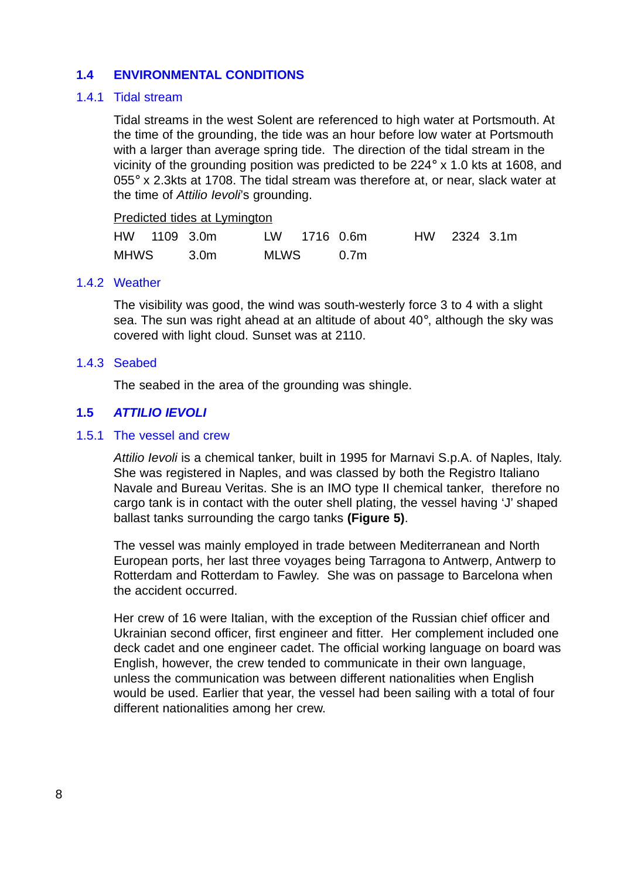# <span id="page-12-0"></span>**1.4 [ENVIRONMENTAL](#page-2-0) CONDITIONS**

#### 1.4.1 Tidal stream

Tidal streams in the west Solent are referenced to high water at Portsmouth. At the time of the grounding, the tide was an hour before low water at Portsmouth with a larger than average spring tide. The direction of the tidal stream in the vicinity of the grounding position was predicted to be 224° x 1.0 kts at 1608, and 055° x 2.3kts at 1708. The tidal stream was therefore at, or near, slack water at the time of *Attilio Ievoli*'s grounding.

#### Predicted tides at Lymington

| HW 1109 3.0m |      |      | LW 1716  0.6m | HW 2324 3.1m |  |
|--------------|------|------|---------------|--------------|--|
| MHWS         | 3.0m | MLWS | 0.7m          |              |  |

#### 1.4.2 [Weather](#page-2-0)

The visibility was good, the wind was south-westerly force 3 to 4 with a slight sea. The sun was right ahead at an altitude of about 40°, although the sky was covered with light cloud. Sunset was at 2110.

#### 1.4.3 [Seabed](#page-2-0)

The seabed in the area of the grounding was shingle.

## **1.5** *ATTILIO IEVOLI*

#### 1.5.1 [The vessel and crew](#page-2-0)

*Attilio Ievoli* is a chemical tanker, built in 1995 for Marnavi S.p.A. of Naples, Italy. She was registered in Naples, and was classed by both the Registro Italiano Navale and Bureau Veritas. She is an IMO type II chemical tanker, therefore no cargo tank is in contact with the outer shell plating, the vessel having 'J' shaped ballast tanks surrounding the cargo tanks **(Figure 5)**.

The vessel was mainly employed in trade between Mediterranean and North European ports, her last three voyages being Tarragona to Antwerp, Antwerp to Rotterdam and Rotterdam to Fawley. She was on passage to Barcelona when the accident occurred.

Her crew of 16 were Italian, with the exception of the Russian chief officer and Ukrainian second officer, first engineer and fitter. Her complement included one deck cadet and one engineer cadet. The official working language on board was English, however, the crew tended to communicate in their own language, unless the communication was between different nationalities when English would be used. Earlier that year, the vessel had been sailing with a total of four different nationalities among her crew.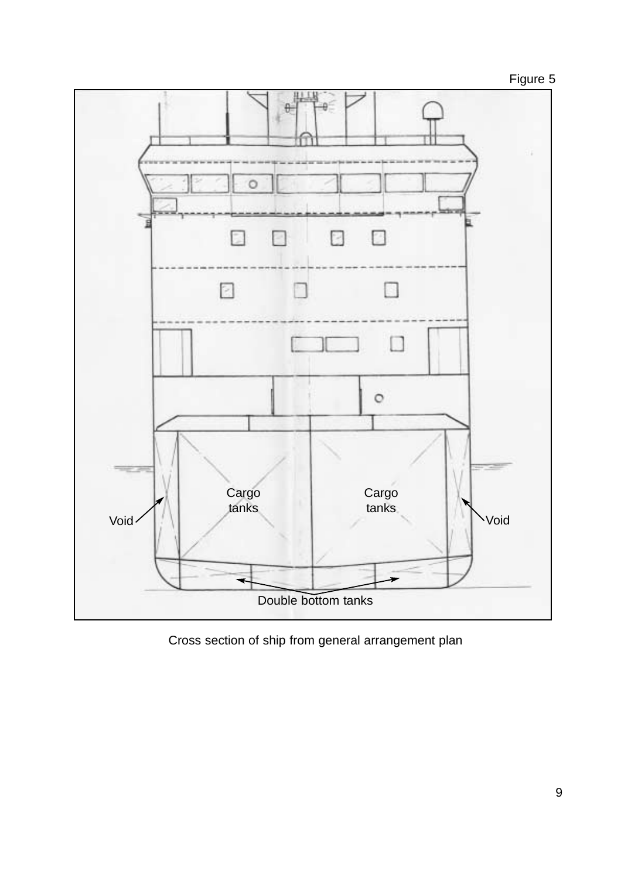



Cross section of ship from general arrangement plan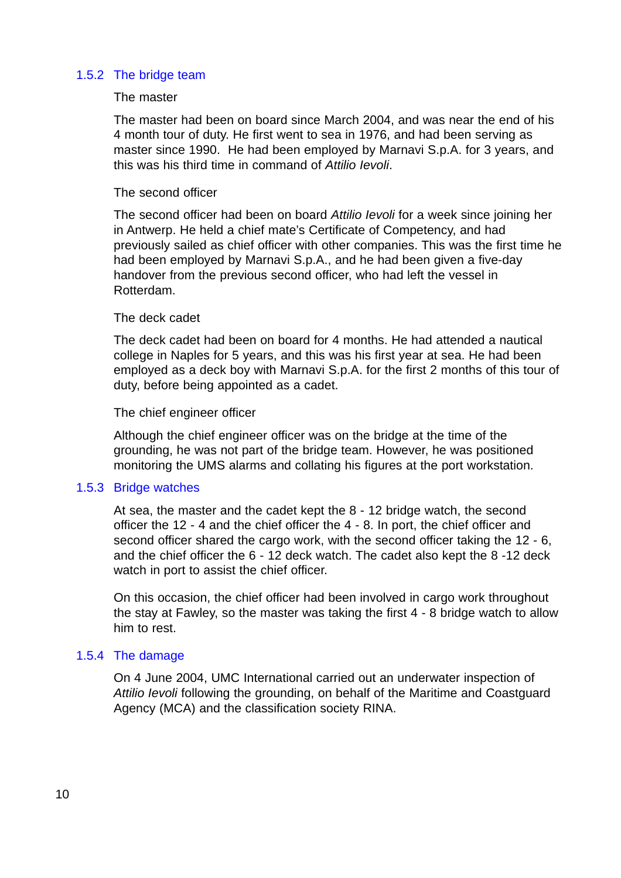## <span id="page-14-0"></span>1.5.2 [The bridge team](#page-2-0)

#### The master

The master had been on board since March 2004, and was near the end of his 4 month tour of duty. He first went to sea in 1976, and had been serving as master since 1990. He had been employed by Marnavi S.p.A. for 3 years, and this was his third time in command of *Attilio Ievoli*.

## The second officer

The second officer had been on board *Attilio Ievoli* for a week since joining her in Antwerp. He held a chief mate's Certificate of Competency, and had previously sailed as chief officer with other companies. This was the first time he had been employed by Marnavi S.p.A., and he had been given a five-day handover from the previous second officer, who had left the vessel in Rotterdam.

## The deck cadet

The deck cadet had been on board for 4 months. He had attended a nautical college in Naples for 5 years, and this was his first year at sea. He had been employed as a deck boy with Marnavi S.p.A. for the first 2 months of this tour of duty, before being appointed as a cadet.

## The chief engineer officer

Although the chief engineer officer was on the bridge at the time of the grounding, he was not part of the bridge team. However, he was positioned monitoring the UMS alarms and collating his figures at the port workstation.

## 1.5.3 [Bridge watches](#page-2-0)

At sea, the master and the cadet kept the 8 - 12 bridge watch, the second officer the 12 - 4 and the chief officer the 4 - 8. In port, the chief officer and second officer shared the cargo work, with the second officer taking the 12 - 6, and the chief officer the 6 - 12 deck watch. The cadet also kept the 8 -12 deck watch in port to assist the chief officer.

On this occasion, the chief officer had been involved in cargo work throughout the stay at Fawley, so the master was taking the first 4 - 8 bridge watch to allow him to rest.

## 1.5.4 [The damage](#page-2-0)

On 4 June 2004, UMC International carried out an underwater inspection of *Attilio Ievoli* following the grounding, on behalf of the Maritime and Coastguard Agency (MCA) and the classification society RINA.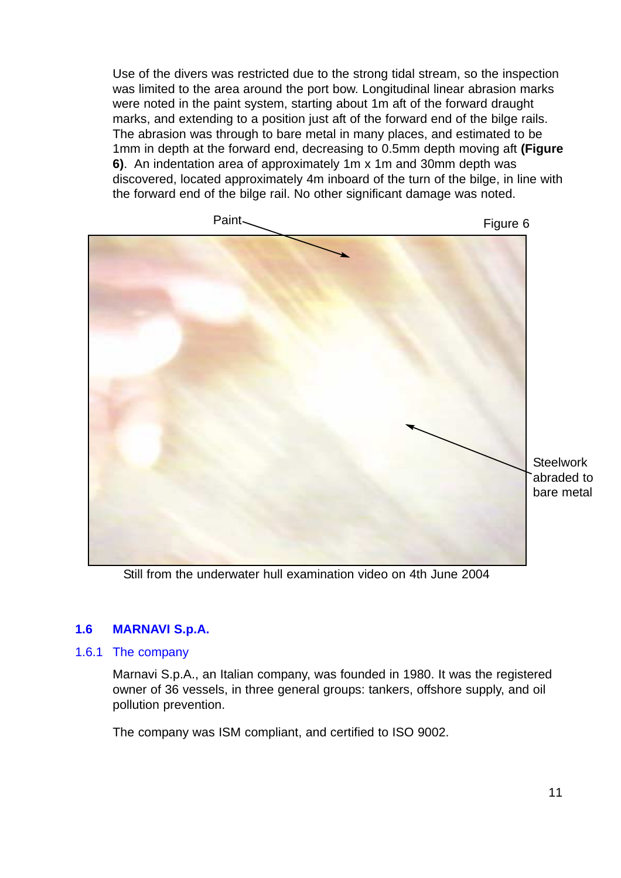<span id="page-15-0"></span>Use of the divers was restricted due to the strong tidal stream, so the inspection was limited to the area around the port bow. Longitudinal linear abrasion marks were noted in the paint system, starting about 1m aft of the forward draught marks, and extending to a position just aft of the forward end of the bilge rails. The abrasion was through to bare metal in many places, and estimated to be 1mm in depth at the forward end, decreasing to 0.5mm depth moving aft **(Figure 6)**. An indentation area of approximately 1m x 1m and 30mm depth was discovered, located approximately 4m inboard of the turn of the bilge, in line with the forward end of the bilge rail. No other significant damage was noted.



Still from the underwater hull examination video on 4th June 2004

# **1.6 [MARNAVI S.p.A.](#page-2-0)**

## 1.6.1 The company

Marnavi S.p.A., an Italian company, was founded in 1980. It was the registered owner of 36 vessels, in three general groups: tankers, offshore supply, and oil pollution prevention.

The company was ISM compliant, and certified to ISO 9002.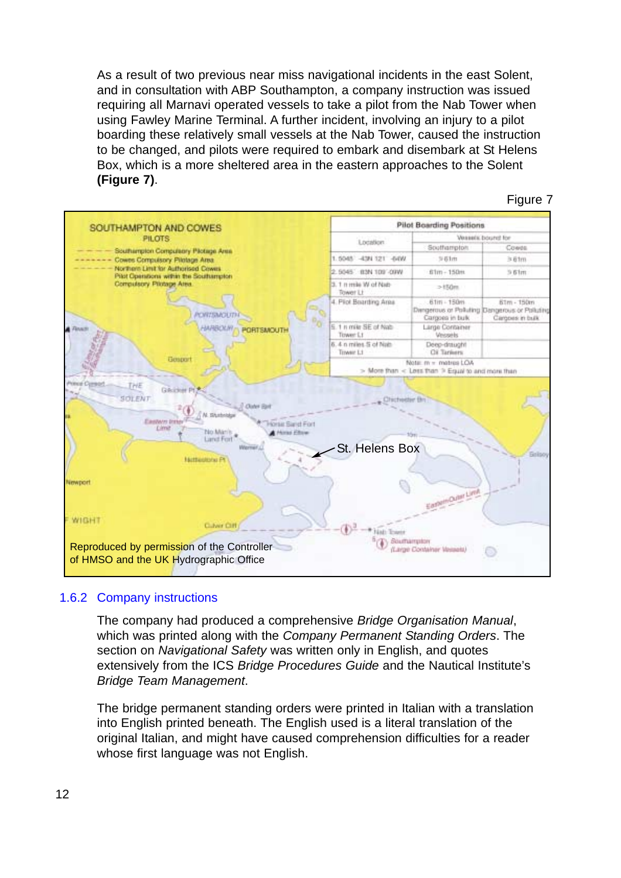<span id="page-16-0"></span>As a result of two previous near miss navigational incidents in the east Solent, and in consultation with ABP Southampton, a company instruction was issued requiring all Marnavi operated vessels to take a pilot from the Nab Tower when using Fawley Marine Terminal. A further incident, involving an injury to a pilot boarding these relatively small vessels at the Nab Tower, caused the instruction to be changed, and pilots were required to embark and disembark at St Helens Box, which is a more sheltered area in the eastern approaches to the Solent **(Figure 7)**.



## 1.6.2 [Company instructions](#page-2-0)

The company had produced a comprehensive *Bridge Organisation Manual*, which was printed along with the *Company Permanent Standing Orders*. The section on *Navigational Safety* was written only in English, and quotes extensively from the ICS *Bridge Procedures Guide* and the Nautical Institute's *Bridge Team Management*.

The bridge permanent standing orders were printed in Italian with a translation into English printed beneath. The English used is a literal translation of the original Italian, and might have caused comprehension difficulties for a reader whose first language was not English.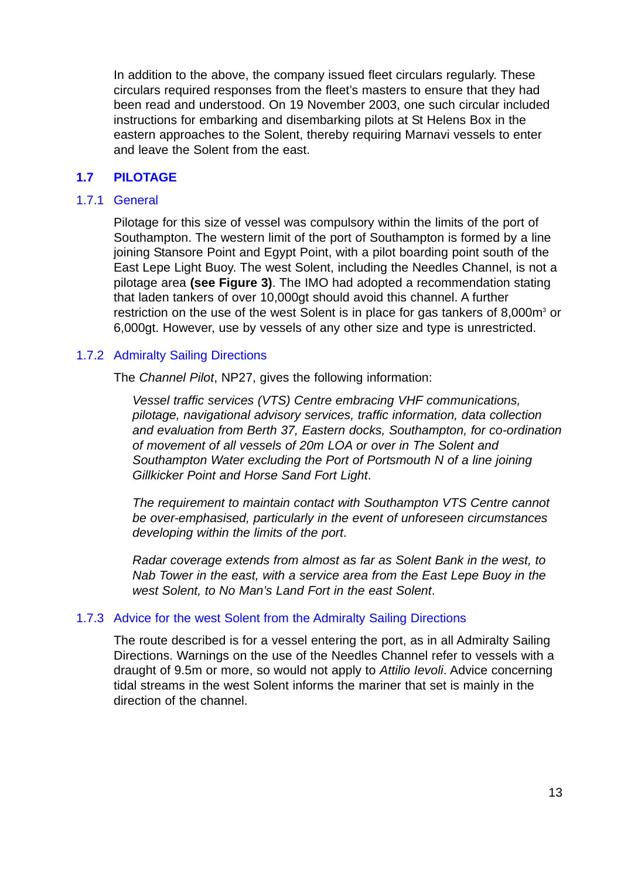<span id="page-17-0"></span>In addition to the above, the company issued fleet circulars regularly. These circulars required responses from the fleet's masters to ensure that they had been read and understood. On 19 November 2003, one such circular included instructions for embarking and disembarking pilots at St Helens Box in the eastern approaches to the Solent, thereby requiring Marnavi vessels to enter and leave the Solent from the east.

## **1.7 [PILOTAGE](#page-2-0)**

#### 1.7.1 General

Pilotage for this size of vessel was compulsory within the limits of the port of Southampton. The western limit of the port of Southampton is formed by a line joining Stansore Point and Egypt Point, with a pilot boarding point south of the East Lepe Light Buoy. The west Solent, including the Needles Channel, is not a pilotage area **(see Figure 3)**. The IMO had adopted a recommendation stating that laden tankers of over 10,000gt should avoid this channel. A further restriction on the use of the west Solent is in place for gas tankers of 8,000m<sup>3</sup> or 6,000gt. However, use by vessels of any other size and type is unrestricted.

## 1.7.2 [Admiralty Sailing Directions](#page-2-0)

The *Channel Pilot*, NP27, gives the following information:

*Vessel traffic services (VTS) Centre embracing VHF communications, pilotage, navigational advisory services, traffic information, data collection and evaluation from Berth 37, Eastern docks, Southampton, for co-ordination of movement of all vessels of 20m LOA or over in The Solent and Southampton Water excluding the Port of Portsmouth N of a line joining Gillkicker Point and Horse Sand Fort Light*.

*The requirement to maintain contact with Southampton VTS Centre cannot be over-emphasised, particularly in the event of unforeseen circumstances developing within the limits of the port*.

*Radar coverage extends from almost as far as Solent Bank in the west, to Nab Tower in the east, with a service area from the East Lepe Buoy in the west Solent, to No Man's Land Fort in the east Solent*.

#### 1.7.3 [Advice for the west Solent from the](#page-2-0) Admiralty Sailing Directions

The route described is for a vessel entering the port, as in all Admiralty Sailing Directions. Warnings on the use of the Needles Channel refer to vessels with a draught of 9.5m or more, so would not apply to *Attilio Ievoli*. Advice concerning tidal streams in the west Solent informs the mariner that set is mainly in the direction of the channel.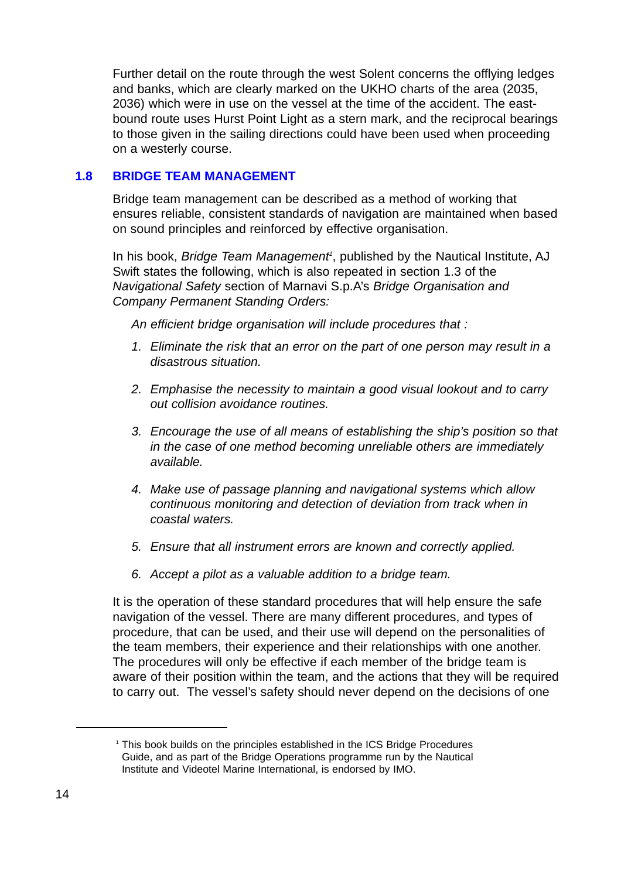<span id="page-18-0"></span>Further detail on the route through the west Solent concerns the offlying ledges and banks, which are clearly marked on the UKHO charts of the area (2035, 2036) which were in use on the vessel at the time of the accident. The eastbound route uses Hurst Point Light as a stern mark, and the reciprocal bearings to those given in the sailing directions could have been used when proceeding on a westerly course.

## **1.8 [BRIDGE TEAM MANAGEMENT](#page-2-0)**

Bridge team management can be described as a method of working that ensures reliable, consistent standards of navigation are maintained when based on sound principles and reinforced by effective organisation.

In his book, *Bridge Team Management<sup>1</sup>*, published by the Nautical Institute, AJ Swift states the following, which is also repeated in section 1.3 of the *Navigational Safety* section of Marnavi S.p.A's *Bridge Organisation and Company Permanent Standing Orders:*

*An efficient bridge organisation will include procedures that :*

- *1. Eliminate the risk that an error on the part of one person may result in a disastrous situation.*
- *2. Emphasise the necessity to maintain a good visual lookout and to carry out collision avoidance routines.*
- *3. Encourage the use of all means of establishing the ship's position so that in the case of one method becoming unreliable others are immediately available.*
- *4. Make use of passage planning and navigational systems which allow continuous monitoring and detection of deviation from track when in coastal waters.*
- *5. Ensure that all instrument errors are known and correctly applied.*
- *6. Accept a pilot as a valuable addition to a bridge team.*

It is the operation of these standard procedures that will help ensure the safe navigation of the vessel. There are many different procedures, and types of procedure, that can be used, and their use will depend on the personalities of the team members, their experience and their relationships with one another. The procedures will only be effective if each member of the bridge team is aware of their position within the team, and the actions that they will be required to carry out. The vessel's safety should never depend on the decisions of one

<sup>&</sup>lt;sup>1</sup> This book builds on the principles established in the ICS Bridge Procedures Guide, and as part of the Bridge Operations programme run by the Nautical Institute and Videotel Marine International, is endorsed by IMO.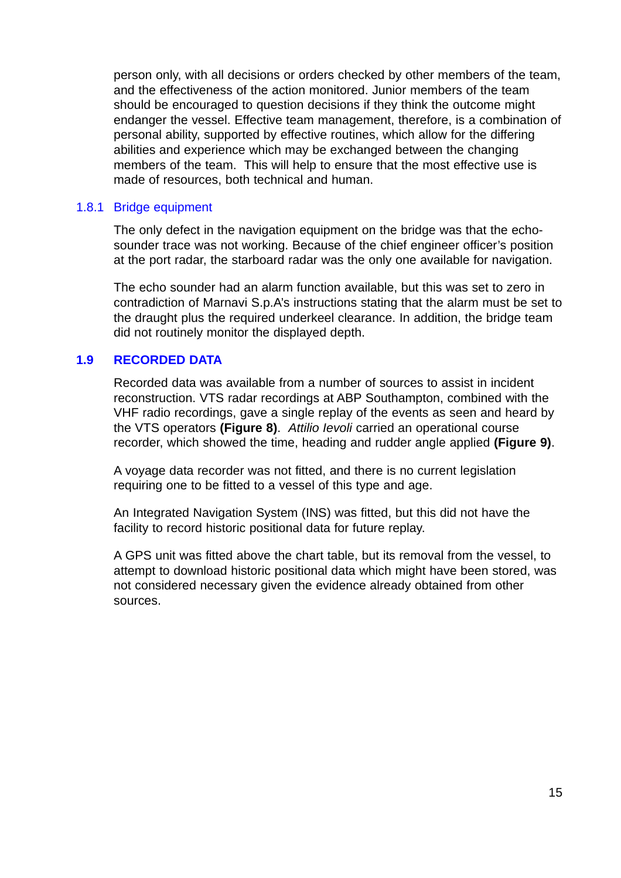<span id="page-19-0"></span>person only, with all decisions or orders checked by other members of the team, and the effectiveness of the action monitored. Junior members of the team should be encouraged to question decisions if they think the outcome might endanger the vessel. Effective team management, therefore, is a combination of personal ability, supported by effective routines, which allow for the differing abilities and experience which may be exchanged between the changing members of the team. This will help to ensure that the most effective use is made of resources, both technical and human.

#### 1.8.1 [Bridge equipment](#page-2-0)

The only defect in the navigation equipment on the bridge was that the echosounder trace was not working. Because of the chief engineer officer's position at the port radar, the starboard radar was the only one available for navigation.

The echo sounder had an alarm function available, but this was set to zero in contradiction of Marnavi S.p.A's instructions stating that the alarm must be set to the draught plus the required underkeel clearance. In addition, the bridge team did not routinely monitor the displayed depth.

# **1.9 [RECORDED DATA](#page-2-0)**

Recorded data was available from a number of sources to assist in incident reconstruction. VTS radar recordings at ABP Southampton, combined with the VHF radio recordings, gave a single replay of the events as seen and heard by the VTS operators **(Figure 8)**. *Attilio Ievoli* carried an operational course recorder, which showed the time, heading and rudder angle applied **(Figure 9)**.

A voyage data recorder was not fitted, and there is no current legislation requiring one to be fitted to a vessel of this type and age.

An Integrated Navigation System (INS) was fitted, but this did not have the facility to record historic positional data for future replay.

A GPS unit was fitted above the chart table, but its removal from the vessel, to attempt to download historic positional data which might have been stored, was not considered necessary given the evidence already obtained from other sources.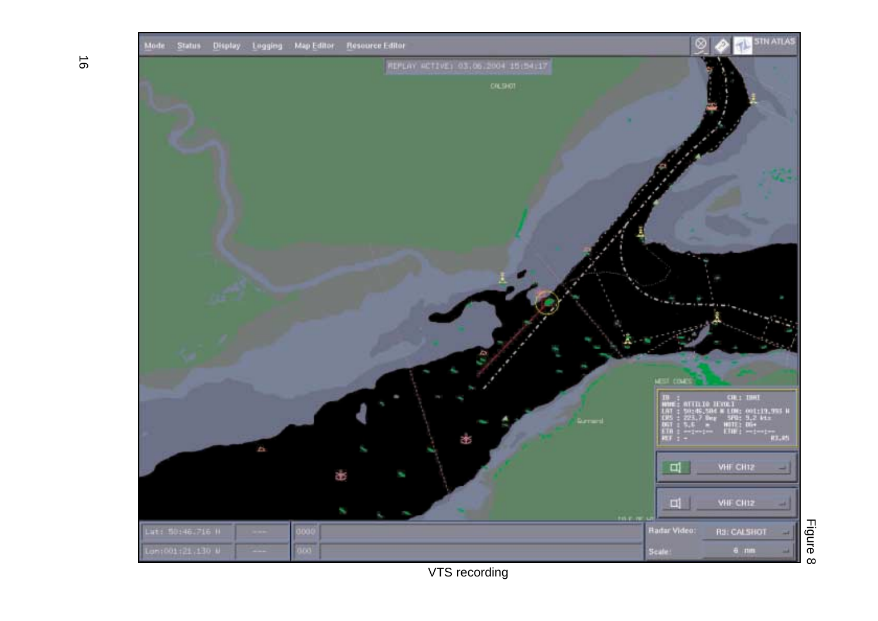

Figure 8

VTS recording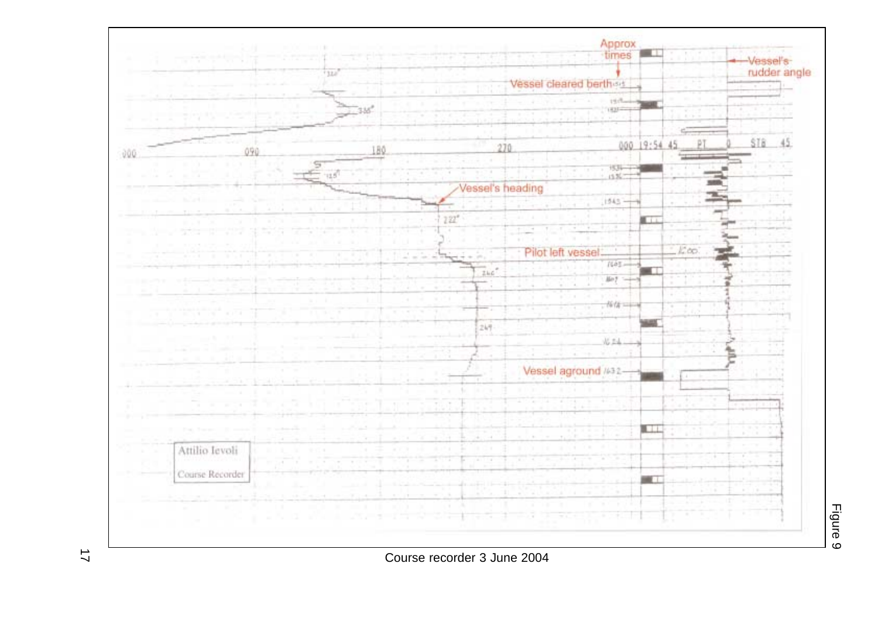

Course recorder 3 June 2004

Figure 9

 $\overrightarrow{1}$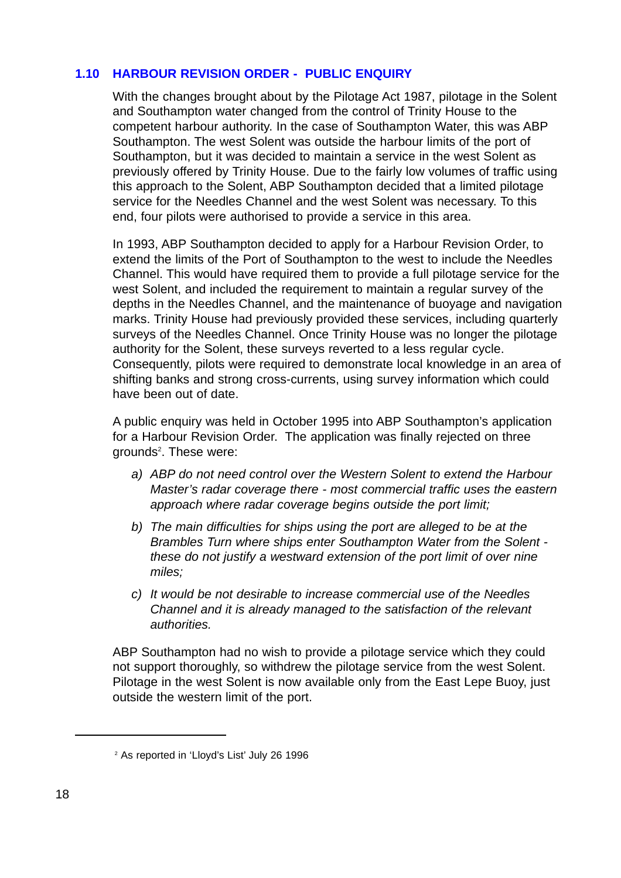# <span id="page-22-0"></span>**1.10 [HARBOUR REVISION ORDER - PUBLIC ENQUIRY](#page-2-0)**

With the changes brought about by the Pilotage Act 1987, pilotage in the Solent and Southampton water changed from the control of Trinity House to the competent harbour authority. In the case of Southampton Water, this was ABP Southampton. The west Solent was outside the harbour limits of the port of Southampton, but it was decided to maintain a service in the west Solent as previously offered by Trinity House. Due to the fairly low volumes of traffic using this approach to the Solent, ABP Southampton decided that a limited pilotage service for the Needles Channel and the west Solent was necessary. To this end, four pilots were authorised to provide a service in this area.

In 1993, ABP Southampton decided to apply for a Harbour Revision Order, to extend the limits of the Port of Southampton to the west to include the Needles Channel. This would have required them to provide a full pilotage service for the west Solent, and included the requirement to maintain a regular survey of the depths in the Needles Channel, and the maintenance of buoyage and navigation marks. Trinity House had previously provided these services, including quarterly surveys of the Needles Channel. Once Trinity House was no longer the pilotage authority for the Solent, these surveys reverted to a less regular cycle. Consequently, pilots were required to demonstrate local knowledge in an area of shifting banks and strong cross-currents, using survey information which could have been out of date.

A public enquiry was held in October 1995 into ABP Southampton's application for a Harbour Revision Order. The application was finally rejected on three grounds<sup>2</sup>. These were:

- *a) ABP do not need control over the Western Solent to extend the Harbour Master's radar coverage there - most commercial traffic uses the eastern approach where radar coverage begins outside the port limit;*
- *b) The main difficulties for ships using the port are alleged to be at the Brambles Turn where ships enter Southampton Water from the Solent these do not justify a westward extension of the port limit of over nine miles;*
- *c) It would be not desirable to increase commercial use of the Needles Channel and it is already managed to the satisfaction of the relevant authorities.*

ABP Southampton had no wish to provide a pilotage service which they could not support thoroughly, so withdrew the pilotage service from the west Solent. Pilotage in the west Solent is now available only from the East Lepe Buoy, just outside the western limit of the port.

<sup>2</sup> As reported in 'Lloyd's List' July 26 1996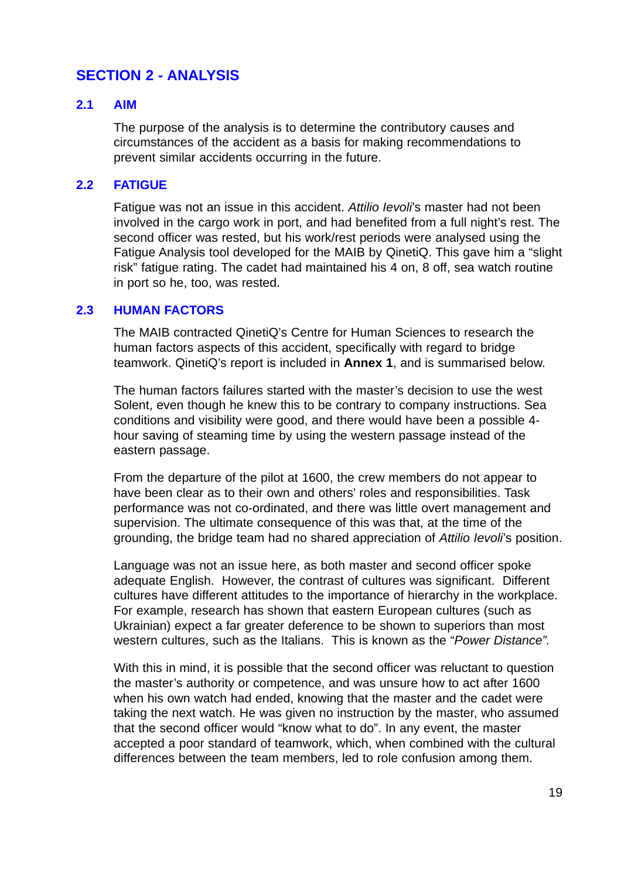# <span id="page-23-0"></span>**[SECTION 2 -](#page-2-0) ANALYSIS**

## **2.1 AIM**

The purpose of the analysis is to determine the contributory causes and circumstances of the accident as a basis for making recommendations to prevent similar accidents occurring in the future.

## **2.2 [FATIGUE](#page-2-0)**

Fatigue was not an issue in this accident. *Attilio Ievoli*'s master had not been involved in the cargo work in port, and had benefited from a full night's rest. The second officer was rested, but his work/rest periods were analysed using the Fatigue Analysis tool developed for the MAIB by QinetiQ. This gave him a "slight risk" fatigue rating. The cadet had maintained his 4 on, 8 off, sea watch routine in port so he, too, was rested.

#### **2.3 [HUMAN FACTORS](#page-2-0)**

The MAIB contracted QinetiQ's Centre for Human Sciences to research the human factors aspects of this accident, specifically with regard to bridge teamwork. QinetiQ's report is included in **Annex 1**, and is summarised below.

The human factors failures started with the master's decision to use the west Solent, even though he knew this to be contrary to company instructions. Sea conditions and visibility were good, and there would have been a possible 4 hour saving of steaming time by using the western passage instead of the eastern passage.

From the departure of the pilot at 1600, the crew members do not appear to have been clear as to their own and others' roles and responsibilities. Task performance was not co-ordinated, and there was little overt management and supervision. The ultimate consequence of this was that, at the time of the grounding, the bridge team had no shared appreciation of *Attilio Ievoli*'s position.

Language was not an issue here, as both master and second officer spoke adequate English. However, the contrast of cultures was significant. Different cultures have different attitudes to the importance of hierarchy in the workplace. For example, research has shown that eastern European cultures (such as Ukrainian) expect a far greater deference to be shown to superiors than most western cultures, such as the Italians. This is known as the "*Power Distance".*

With this in mind, it is possible that the second officer was reluctant to question the master's authority or competence, and was unsure how to act after 1600 when his own watch had ended, knowing that the master and the cadet were taking the next watch. He was given no instruction by the master, who assumed that the second officer would "know what to do". In any event, the master accepted a poor standard of teamwork, which, when combined with the cultural differences between the team members, led to role confusion among them.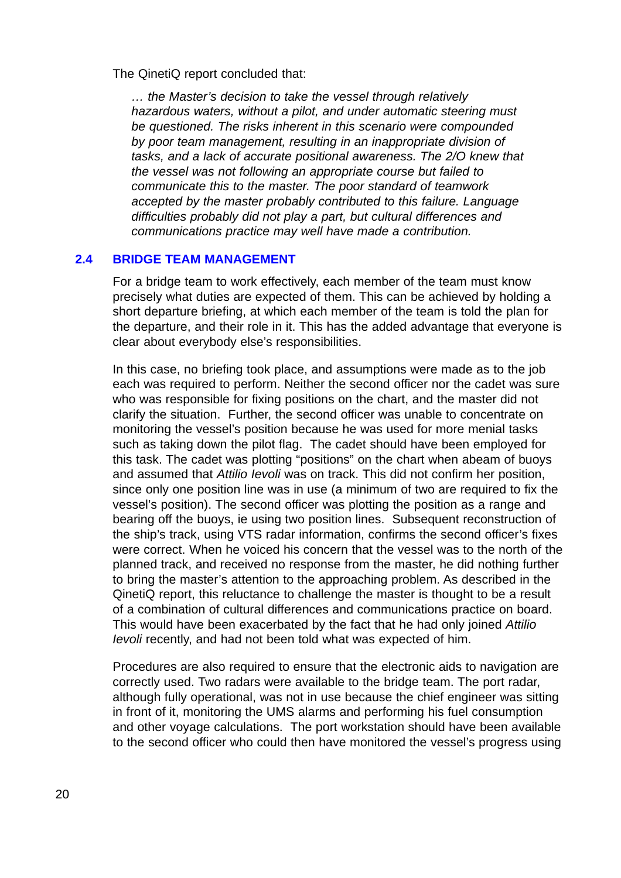<span id="page-24-0"></span>The QinetiQ report concluded that:

*… the Master's decision to take the vessel through relatively hazardous waters, without a pilot, and under automatic steering must be questioned. The risks inherent in this scenario were compounded by poor team management, resulting in an inappropriate division of tasks, and a lack of accurate positional awareness. The 2/O knew that the vessel was not following an appropriate course but failed to communicate this to the master. The poor standard of teamwork accepted by the master probably contributed to this failure. Language difficulties probably did not play a part, but cultural differences and communications practice may well have made a contribution.* 

## **2.4 [BRIDGE TEAM MANAGEMENT](#page-2-0)**

For a bridge team to work effectively, each member of the team must know precisely what duties are expected of them. This can be achieved by holding a short departure briefing, at which each member of the team is told the plan for the departure, and their role in it. This has the added advantage that everyone is clear about everybody else's responsibilities.

In this case, no briefing took place, and assumptions were made as to the job each was required to perform. Neither the second officer nor the cadet was sure who was responsible for fixing positions on the chart, and the master did not clarify the situation. Further, the second officer was unable to concentrate on monitoring the vessel's position because he was used for more menial tasks such as taking down the pilot flag. The cadet should have been employed for this task. The cadet was plotting "positions" on the chart when abeam of buoys and assumed that *Attilio Ievoli* was on track. This did not confirm her position, since only one position line was in use (a minimum of two are required to fix the vessel's position). The second officer was plotting the position as a range and bearing off the buoys, ie using two position lines. Subsequent reconstruction of the ship's track, using VTS radar information, confirms the second officer's fixes were correct. When he voiced his concern that the vessel was to the north of the planned track, and received no response from the master, he did nothing further to bring the master's attention to the approaching problem. As described in the QinetiQ report, this reluctance to challenge the master is thought to be a result of a combination of cultural differences and communications practice on board. This would have been exacerbated by the fact that he had only joined *Attilio Ievoli* recently, and had not been told what was expected of him.

Procedures are also required to ensure that the electronic aids to navigation are correctly used. Two radars were available to the bridge team. The port radar, although fully operational, was not in use because the chief engineer was sitting in front of it, monitoring the UMS alarms and performing his fuel consumption and other voyage calculations. The port workstation should have been available to the second officer who could then have monitored the vessel's progress using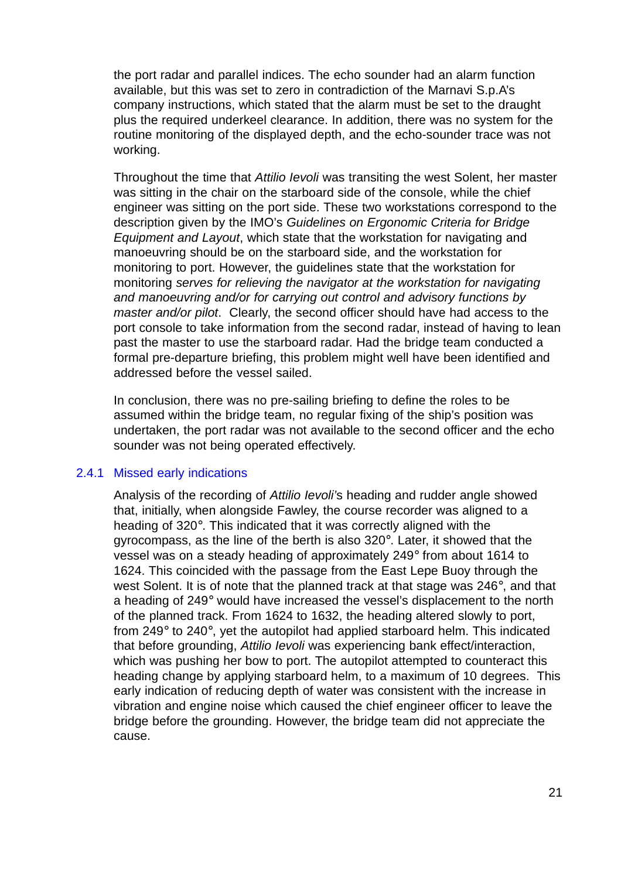<span id="page-25-0"></span>the port radar and parallel indices. The echo sounder had an alarm function available, but this was set to zero in contradiction of the Marnavi S.p.A's company instructions, which stated that the alarm must be set to the draught plus the required underkeel clearance. In addition, there was no system for the routine monitoring of the displayed depth, and the echo-sounder trace was not working.

Throughout the time that *Attilio Ievoli* was transiting the west Solent, her master was sitting in the chair on the starboard side of the console, while the chief engineer was sitting on the port side. These two workstations correspond to the description given by the IMO's *Guidelines on Ergonomic Criteria for Bridge Equipment and Layout*, which state that the workstation for navigating and manoeuvring should be on the starboard side, and the workstation for monitoring to port. However, the guidelines state that the workstation for monitoring *serves for relieving the navigator at the workstation for navigating and manoeuvring and/or for carrying out control and advisory functions by master and/or pilot*. Clearly, the second officer should have had access to the port console to take information from the second radar, instead of having to lean past the master to use the starboard radar. Had the bridge team conducted a formal pre-departure briefing, this problem might well have been identified and addressed before the vessel sailed.

In conclusion, there was no pre-sailing briefing to define the roles to be assumed within the bridge team, no regular fixing of the ship's position was undertaken, the port radar was not available to the second officer and the echo sounder was not being operated effectively.

#### 2.4.1 [Missed early indications](#page-2-0)

Analysis of the recording of *Attilio Ievoli'*s heading and rudder angle showed that, initially, when alongside Fawley, the course recorder was aligned to a heading of 320°. This indicated that it was correctly aligned with the gyrocompass, as the line of the berth is also 320°. Later, it showed that the vessel was on a steady heading of approximately 249° from about 1614 to 1624. This coincided with the passage from the East Lepe Buoy through the west Solent. It is of note that the planned track at that stage was 246°, and that a heading of 249° would have increased the vessel's displacement to the north of the planned track. From 1624 to 1632, the heading altered slowly to port, from 249° to 240°, yet the autopilot had applied starboard helm. This indicated that before grounding, *Attilio Ievoli* was experiencing bank effect/interaction, which was pushing her bow to port. The autopilot attempted to counteract this heading change by applying starboard helm, to a maximum of 10 degrees. This early indication of reducing depth of water was consistent with the increase in vibration and engine noise which caused the chief engineer officer to leave the bridge before the grounding. However, the bridge team did not appreciate the cause.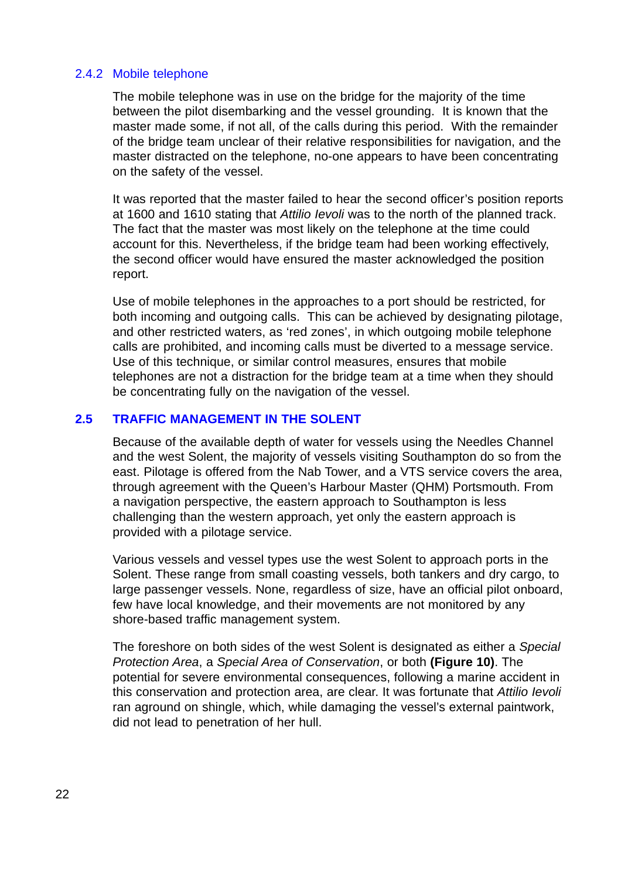#### <span id="page-26-0"></span>2.4.2 [Mobile telephone](#page-2-0)

The mobile telephone was in use on the bridge for the majority of the time between the pilot disembarking and the vessel grounding. It is known that the master made some, if not all, of the calls during this period. With the remainder of the bridge team unclear of their relative responsibilities for navigation, and the master distracted on the telephone, no-one appears to have been concentrating on the safety of the vessel.

It was reported that the master failed to hear the second officer's position reports at 1600 and 1610 stating that *Attilio Ievoli* was to the north of the planned track. The fact that the master was most likely on the telephone at the time could account for this. Nevertheless, if the bridge team had been working effectively, the second officer would have ensured the master acknowledged the position report.

Use of mobile telephones in the approaches to a port should be restricted, for both incoming and outgoing calls. This can be achieved by designating pilotage, and other restricted waters, as 'red zones', in which outgoing mobile telephone calls are prohibited, and incoming calls must be diverted to a message service. Use of this technique, or similar control measures, ensures that mobile telephones are not a distraction for the bridge team at a time when they should be concentrating fully on the navigation of the vessel.

## **2.5 [TRAFFIC MANAGEMENT IN THE SOLENT](#page-2-0)**

Because of the available depth of water for vessels using the Needles Channel and the west Solent, the majority of vessels visiting Southampton do so from the east. Pilotage is offered from the Nab Tower, and a VTS service covers the area, through agreement with the Queen's Harbour Master (QHM) Portsmouth. From a navigation perspective, the eastern approach to Southampton is less challenging than the western approach, yet only the eastern approach is provided with a pilotage service.

Various vessels and vessel types use the west Solent to approach ports in the Solent. These range from small coasting vessels, both tankers and dry cargo, to large passenger vessels. None, regardless of size, have an official pilot onboard, few have local knowledge, and their movements are not monitored by any shore-based traffic management system.

The foreshore on both sides of the west Solent is designated as either a *Special Protection Area*, a *Special Area of Conservation*, or both **(Figure 10)**. The potential for severe environmental consequences, following a marine accident in this conservation and protection area, are clear. It was fortunate that *Attilio Ievoli* ran aground on shingle, which, while damaging the vessel's external paintwork, did not lead to penetration of her hull.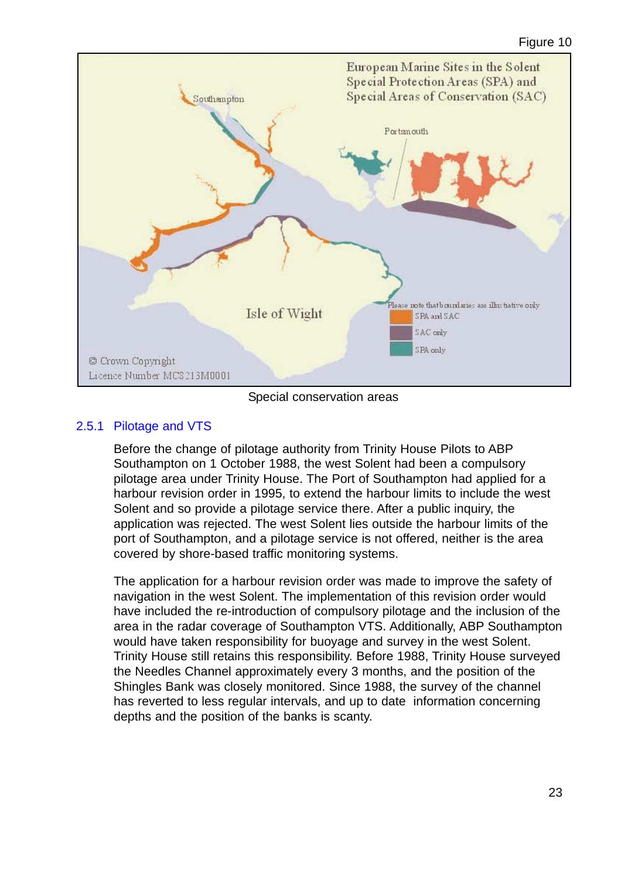<span id="page-27-0"></span>

Special conservation areas

# 2.5.1 [Pilotage and VTS](#page-2-0)

Before the change of pilotage authority from Trinity House Pilots to ABP Southampton on 1 October 1988, the west Solent had been a compulsory pilotage area under Trinity House. The Port of Southampton had applied for a harbour revision order in 1995, to extend the harbour limits to include the west Solent and so provide a pilotage service there. After a public inquiry, the application was rejected. The west Solent lies outside the harbour limits of the port of Southampton, and a pilotage service is not offered, neither is the area covered by shore-based traffic monitoring systems.

The application for a harbour revision order was made to improve the safety of navigation in the west Solent. The implementation of this revision order would have included the re-introduction of compulsory pilotage and the inclusion of the area in the radar coverage of Southampton VTS. Additionally, ABP Southampton would have taken responsibility for buoyage and survey in the west Solent. Trinity House still retains this responsibility. Before 1988, Trinity House surveyed the Needles Channel approximately every 3 months, and the position of the Shingles Bank was closely monitored. Since 1988, the survey of the channel has reverted to less regular intervals, and up to date information concerning depths and the position of the banks is scanty.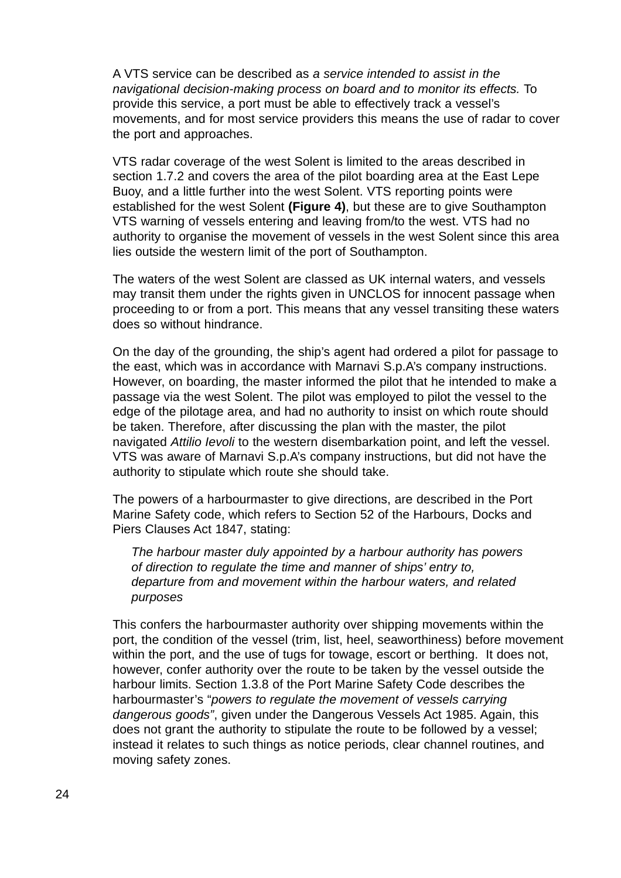A VTS service can be described as *a service intended to assist in the navigational decision-making process on board and to monitor its effects.* To provide this service, a port must be able to effectively track a vessel's movements, and for most service providers this means the use of radar to cover the port and approaches.

VTS radar coverage of the west Solent is limited to the areas described in section 1.7.2 and covers the area of the pilot boarding area at the East Lepe Buoy, and a little further into the west Solent. VTS reporting points were established for the west Solent **(Figure 4)**, but these are to give Southampton VTS warning of vessels entering and leaving from/to the west. VTS had no authority to organise the movement of vessels in the west Solent since this area lies outside the western limit of the port of Southampton.

The waters of the west Solent are classed as UK internal waters, and vessels may transit them under the rights given in UNCLOS for innocent passage when proceeding to or from a port. This means that any vessel transiting these waters does so without hindrance.

On the day of the grounding, the ship's agent had ordered a pilot for passage to the east, which was in accordance with Marnavi S.p.A's company instructions. However, on boarding, the master informed the pilot that he intended to make a passage via the west Solent. The pilot was employed to pilot the vessel to the edge of the pilotage area, and had no authority to insist on which route should be taken. Therefore, after discussing the plan with the master, the pilot navigated *Attilio Ievoli* to the western disembarkation point, and left the vessel. VTS was aware of Marnavi S.p.A's company instructions, but did not have the authority to stipulate which route she should take.

The powers of a harbourmaster to give directions, are described in the Port Marine Safety code, which refers to Section 52 of the Harbours, Docks and Piers Clauses Act 1847, stating:

*The harbour master duly appointed by a harbour authority has powers of direction to regulate the time and manner of ships' entry to, departure from and movement within the harbour waters, and related purposes*

This confers the harbourmaster authority over shipping movements within the port, the condition of the vessel (trim, list, heel, seaworthiness) before movement within the port, and the use of tugs for towage, escort or berthing. It does not, however, confer authority over the route to be taken by the vessel outside the harbour limits. Section 1.3.8 of the Port Marine Safety Code describes the harbourmaster's "*powers to regulate the movement of vessels carrying dangerous goods"*, given under the Dangerous Vessels Act 1985. Again, this does not grant the authority to stipulate the route to be followed by a vessel; instead it relates to such things as notice periods, clear channel routines, and moving safety zones.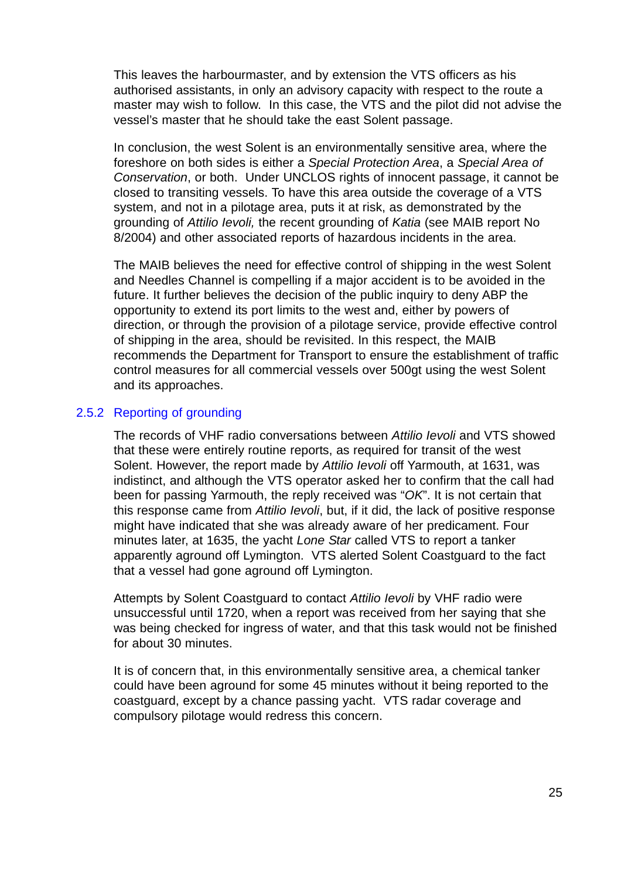<span id="page-29-0"></span>This leaves the harbourmaster, and by extension the VTS officers as his authorised assistants, in only an advisory capacity with respect to the route a master may wish to follow. In this case, the VTS and the pilot did not advise the vessel's master that he should take the east Solent passage.

In conclusion, the west Solent is an environmentally sensitive area, where the foreshore on both sides is either a *Special Protection Area*, a *Special Area of Conservation*, or both. Under UNCLOS rights of innocent passage, it cannot be closed to transiting vessels. To have this area outside the coverage of a VTS system, and not in a pilotage area, puts it at risk, as demonstrated by the grounding of *Attilio Ievoli,* the recent grounding of *Katia* (see MAIB report No 8/2004) and other associated reports of hazardous incidents in the area.

The MAIB believes the need for effective control of shipping in the west Solent and Needles Channel is compelling if a major accident is to be avoided in the future. It further believes the decision of the public inquiry to deny ABP the opportunity to extend its port limits to the west and, either by powers of direction, or through the provision of a pilotage service, provide effective control of shipping in the area, should be revisited. In this respect, the MAIB recommends the Department for Transport to ensure the establishment of traffic control measures for all commercial vessels over 500gt using the west Solent and its approaches.

## 2.5.2 [Reporting of grounding](#page-2-0)

The records of VHF radio conversations between *Attilio Ievoli* and VTS showed that these were entirely routine reports, as required for transit of the west Solent. However, the report made by *Attilio Ievoli* off Yarmouth, at 1631, was indistinct, and although the VTS operator asked her to confirm that the call had been for passing Yarmouth, the reply received was "*OK*". It is not certain that this response came from *Attilio Ievoli*, but, if it did, the lack of positive response might have indicated that she was already aware of her predicament. Four minutes later, at 1635, the yacht *Lone Star* called VTS to report a tanker apparently aground off Lymington. VTS alerted Solent Coastguard to the fact that a vessel had gone aground off Lymington.

Attempts by Solent Coastguard to contact *Attilio Ievoli* by VHF radio were unsuccessful until 1720, when a report was received from her saying that she was being checked for ingress of water, and that this task would not be finished for about 30 minutes.

It is of concern that, in this environmentally sensitive area, a chemical tanker could have been aground for some 45 minutes without it being reported to the coastguard, except by a chance passing yacht. VTS radar coverage and compulsory pilotage would redress this concern.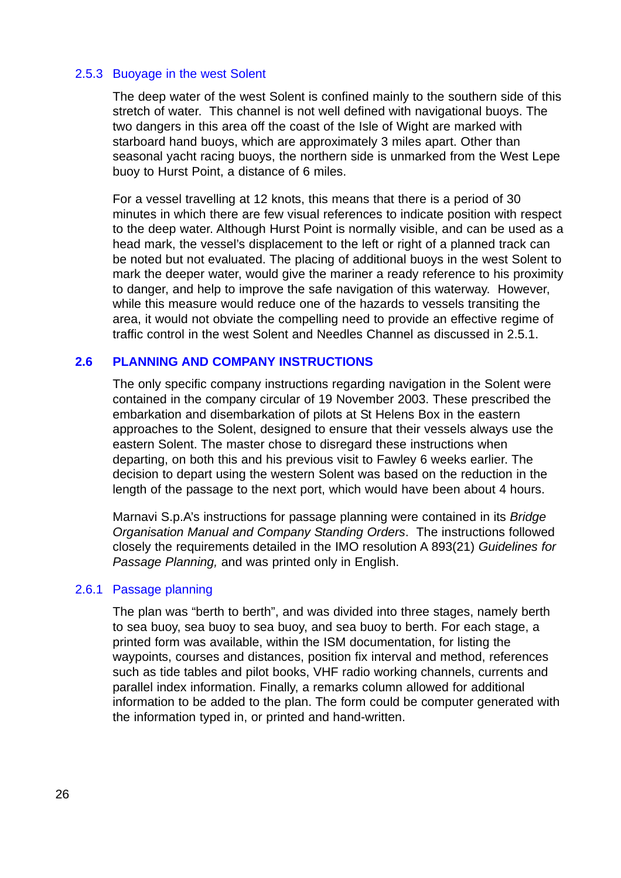#### <span id="page-30-0"></span>2.5.3 [Buoyage in the west Solent](#page-2-0)

The deep water of the west Solent is confined mainly to the southern side of this stretch of water. This channel is not well defined with navigational buoys. The two dangers in this area off the coast of the Isle of Wight are marked with starboard hand buoys, which are approximately 3 miles apart. Other than seasonal yacht racing buoys, the northern side is unmarked from the West Lepe buoy to Hurst Point, a distance of 6 miles.

For a vessel travelling at 12 knots, this means that there is a period of 30 minutes in which there are few visual references to indicate position with respect to the deep water. Although Hurst Point is normally visible, and can be used as a head mark, the vessel's displacement to the left or right of a planned track can be noted but not evaluated. The placing of additional buoys in the west Solent to mark the deeper water, would give the mariner a ready reference to his proximity to danger, and help to improve the safe navigation of this waterway. However, while this measure would reduce one of the hazards to vessels transiting the area, it would not obviate the compelling need to provide an effective regime of traffic control in the west Solent and Needles Channel as discussed in 2.5.1.

## **2.6 [PLANNING AND](#page-2-0) COMPANY INSTRUCTIONS**

The only specific company instructions regarding navigation in the Solent were contained in the company circular of 19 November 2003. These prescribed the embarkation and disembarkation of pilots at St Helens Box in the eastern approaches to the Solent, designed to ensure that their vessels always use the eastern Solent. The master chose to disregard these instructions when departing, on both this and his previous visit to Fawley 6 weeks earlier. The decision to depart using the western Solent was based on the reduction in the length of the passage to the next port, which would have been about 4 hours.

Marnavi S.p.A's instructions for passage planning were contained in its *Bridge Organisation Manual and Company Standing Orders*. The instructions followed closely the requirements detailed in the IMO resolution A 893(21) *Guidelines for Passage Planning,* and was printed only in English.

#### 2.6.1 [Passage planning](#page-2-0)

The plan was "berth to berth", and was divided into three stages, namely berth to sea buoy, sea buoy to sea buoy, and sea buoy to berth. For each stage, a printed form was available, within the ISM documentation, for listing the waypoints, courses and distances, position fix interval and method, references such as tide tables and pilot books, VHF radio working channels, currents and parallel index information. Finally, a remarks column allowed for additional information to be added to the plan. The form could be computer generated with the information typed in, or printed and hand-written.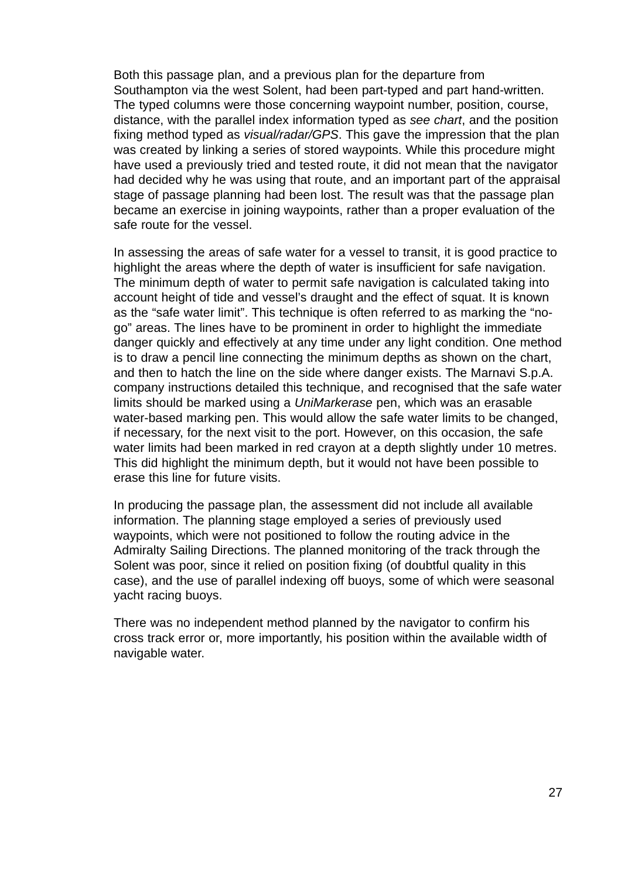Both this passage plan, and a previous plan for the departure from Southampton via the west Solent, had been part-typed and part hand-written. The typed columns were those concerning waypoint number, position, course, distance, with the parallel index information typed as *see chart*, and the position fixing method typed as *visual/radar/GPS*. This gave the impression that the plan was created by linking a series of stored waypoints. While this procedure might have used a previously tried and tested route, it did not mean that the navigator had decided why he was using that route, and an important part of the appraisal stage of passage planning had been lost. The result was that the passage plan became an exercise in joining waypoints, rather than a proper evaluation of the safe route for the vessel.

In assessing the areas of safe water for a vessel to transit, it is good practice to highlight the areas where the depth of water is insufficient for safe navigation. The minimum depth of water to permit safe navigation is calculated taking into account height of tide and vessel's draught and the effect of squat. It is known as the "safe water limit". This technique is often referred to as marking the "nogo" areas. The lines have to be prominent in order to highlight the immediate danger quickly and effectively at any time under any light condition. One method is to draw a pencil line connecting the minimum depths as shown on the chart, and then to hatch the line on the side where danger exists. The Marnavi S.p.A. company instructions detailed this technique, and recognised that the safe water limits should be marked using a *UniMarkerase* pen, which was an erasable water-based marking pen. This would allow the safe water limits to be changed, if necessary, for the next visit to the port. However, on this occasion, the safe water limits had been marked in red crayon at a depth slightly under 10 metres. This did highlight the minimum depth, but it would not have been possible to erase this line for future visits.

In producing the passage plan, the assessment did not include all available information. The planning stage employed a series of previously used waypoints, which were not positioned to follow the routing advice in the Admiralty Sailing Directions. The planned monitoring of the track through the Solent was poor, since it relied on position fixing (of doubtful quality in this case), and the use of parallel indexing off buoys, some of which were seasonal yacht racing buoys.

There was no independent method planned by the navigator to confirm his cross track error or, more importantly, his position within the available width of navigable water.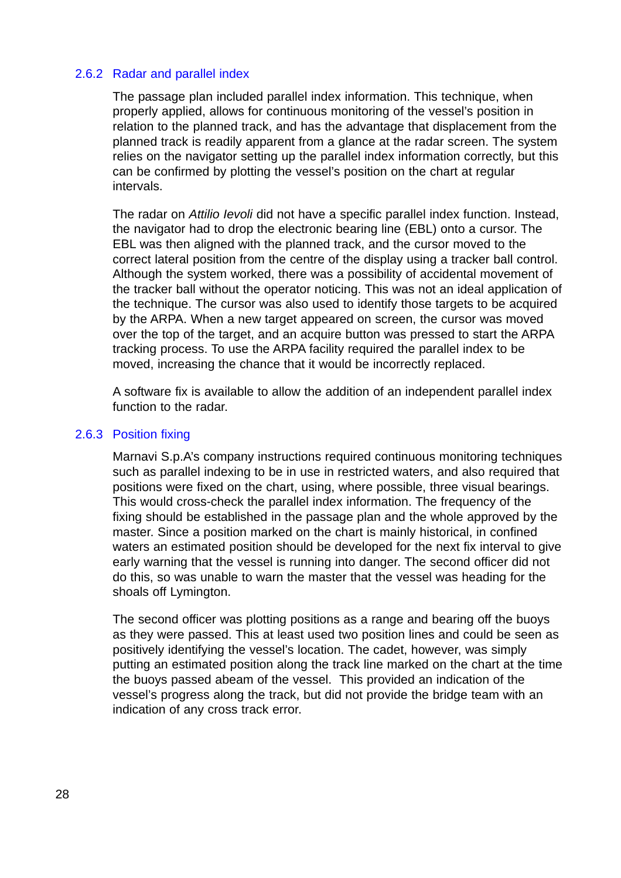#### <span id="page-32-0"></span>2.6.2 [Radar and parallel index](#page-2-0)

The passage plan included parallel index information. This technique, when properly applied, allows for continuous monitoring of the vessel's position in relation to the planned track, and has the advantage that displacement from the planned track is readily apparent from a glance at the radar screen. The system relies on the navigator setting up the parallel index information correctly, but this can be confirmed by plotting the vessel's position on the chart at regular intervals.

The radar on *Attilio Ievoli* did not have a specific parallel index function. Instead, the navigator had to drop the electronic bearing line (EBL) onto a cursor. The EBL was then aligned with the planned track, and the cursor moved to the correct lateral position from the centre of the display using a tracker ball control. Although the system worked, there was a possibility of accidental movement of the tracker ball without the operator noticing. This was not an ideal application of the technique. The cursor was also used to identify those targets to be acquired by the ARPA. When a new target appeared on screen, the cursor was moved over the top of the target, and an acquire button was pressed to start the ARPA tracking process. To use the ARPA facility required the parallel index to be moved, increasing the chance that it would be incorrectly replaced.

A software fix is available to allow the addition of an independent parallel index function to the radar.

#### 2.6.3 [Position fixing](#page-2-0)

Marnavi S.p.A's company instructions required continuous monitoring techniques such as parallel indexing to be in use in restricted waters, and also required that positions were fixed on the chart, using, where possible, three visual bearings. This would cross-check the parallel index information. The frequency of the fixing should be established in the passage plan and the whole approved by the master. Since a position marked on the chart is mainly historical, in confined waters an estimated position should be developed for the next fix interval to give early warning that the vessel is running into danger. The second officer did not do this, so was unable to warn the master that the vessel was heading for the shoals off Lymington.

The second officer was plotting positions as a range and bearing off the buoys as they were passed. This at least used two position lines and could be seen as positively identifying the vessel's location. The cadet, however, was simply putting an estimated position along the track line marked on the chart at the time the buoys passed abeam of the vessel. This provided an indication of the vessel's progress along the track, but did not provide the bridge team with an indication of any cross track error.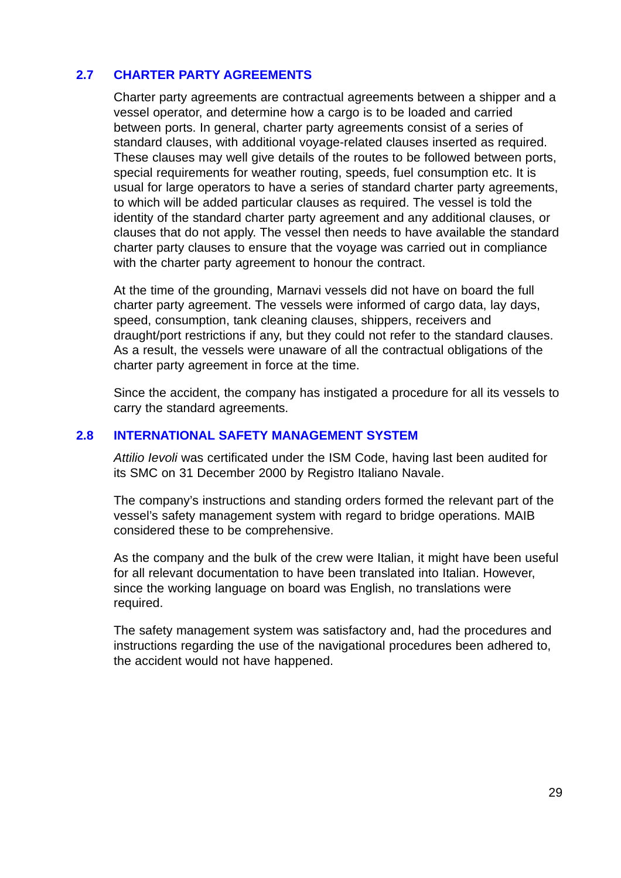# <span id="page-33-0"></span>**2.7 [CHARTER PARTY](#page-3-0) AGREEMENTS**

Charter party agreements are contractual agreements between a shipper and a vessel operator, and determine how a cargo is to be loaded and carried between ports. In general, charter party agreements consist of a series of standard clauses, with additional voyage-related clauses inserted as required. These clauses may well give details of the routes to be followed between ports, special requirements for weather routing, speeds, fuel consumption etc. It is usual for large operators to have a series of standard charter party agreements, to which will be added particular clauses as required. The vessel is told the identity of the standard charter party agreement and any additional clauses, or clauses that do not apply. The vessel then needs to have available the standard charter party clauses to ensure that the voyage was carried out in compliance with the charter party agreement to honour the contract.

At the time of the grounding, Marnavi vessels did not have on board the full charter party agreement. The vessels were informed of cargo data, lay days, speed, consumption, tank cleaning clauses, shippers, receivers and draught/port restrictions if any, but they could not refer to the standard clauses. As a result, the vessels were unaware of all the contractual obligations of the charter party agreement in force at the time.

Since the accident, the company has instigated a procedure for all its vessels to carry the standard agreements.

#### **2.8 INTERNATIONAL SAFETY [MANAGEMENT SYSTEM](#page-3-0)**

*Attilio Ievoli* was certificated under the ISM Code, having last been audited for its SMC on 31 December 2000 by Registro Italiano Navale.

The company's instructions and standing orders formed the relevant part of the vessel's safety management system with regard to bridge operations. MAIB considered these to be comprehensive.

As the company and the bulk of the crew were Italian, it might have been useful for all relevant documentation to have been translated into Italian. However, since the working language on board was English, no translations were required.

The safety management system was satisfactory and, had the procedures and instructions regarding the use of the navigational procedures been adhered to, the accident would not have happened.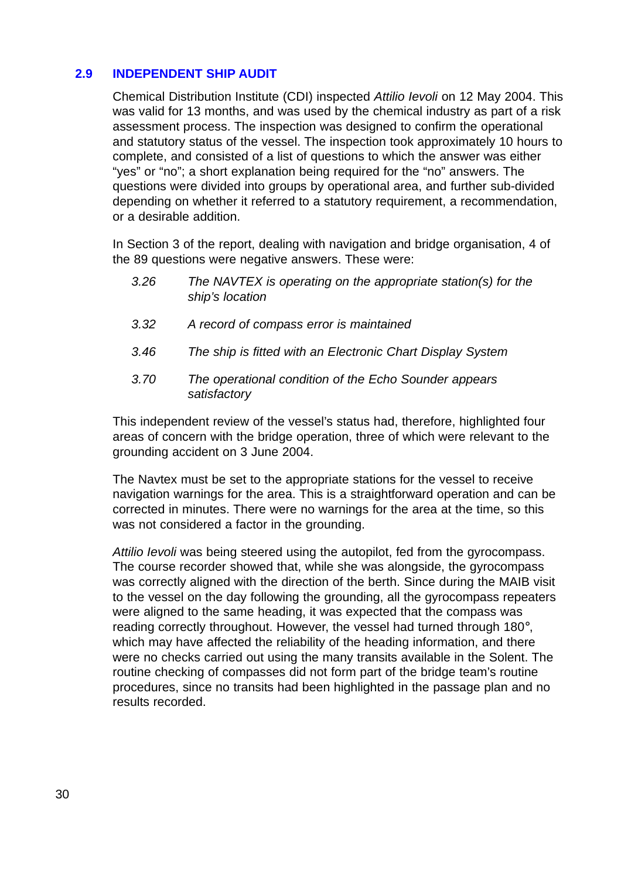# <span id="page-34-0"></span>**2.9 [INDEPENDENT SHIP](#page-3-0) AUDIT**

Chemical Distribution Institute (CDI) inspected *Attilio Ievoli* on 12 May 2004. This was valid for 13 months, and was used by the chemical industry as part of a risk assessment process. The inspection was designed to confirm the operational and statutory status of the vessel. The inspection took approximately 10 hours to complete, and consisted of a list of questions to which the answer was either "yes" or "no"; a short explanation being required for the "no" answers. The questions were divided into groups by operational area, and further sub-divided depending on whether it referred to a statutory requirement, a recommendation, or a desirable addition.

In Section 3 of the report, dealing with navigation and bridge organisation, 4 of the 89 questions were negative answers. These were:

- *3.26 The NAVTEX is operating on the appropriate station(s) for the ship's location*
- *3.32 A record of compass error is maintained*
- *3.46 The ship is fitted with an Electronic Chart Display System*
- *3.70 The operational condition of the Echo Sounder appears satisfactory*

This independent review of the vessel's status had, therefore, highlighted four areas of concern with the bridge operation, three of which were relevant to the grounding accident on 3 June 2004.

The Navtex must be set to the appropriate stations for the vessel to receive navigation warnings for the area. This is a straightforward operation and can be corrected in minutes. There were no warnings for the area at the time, so this was not considered a factor in the grounding.

*Attilio Ievoli* was being steered using the autopilot, fed from the gyrocompass. The course recorder showed that, while she was alongside, the gyrocompass was correctly aligned with the direction of the berth. Since during the MAIB visit to the vessel on the day following the grounding, all the gyrocompass repeaters were aligned to the same heading, it was expected that the compass was reading correctly throughout. However, the vessel had turned through 180°, which may have affected the reliability of the heading information, and there were no checks carried out using the many transits available in the Solent. The routine checking of compasses did not form part of the bridge team's routine procedures, since no transits had been highlighted in the passage plan and no results recorded.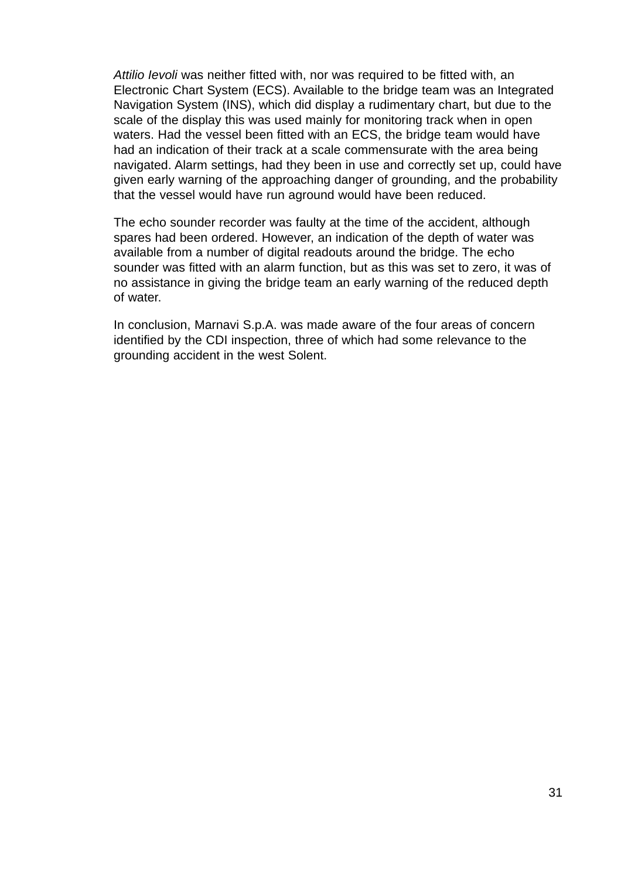*Attilio Ievoli* was neither fitted with, nor was required to be fitted with, an Electronic Chart System (ECS). Available to the bridge team was an Integrated Navigation System (INS), which did display a rudimentary chart, but due to the scale of the display this was used mainly for monitoring track when in open waters. Had the vessel been fitted with an ECS, the bridge team would have had an indication of their track at a scale commensurate with the area being navigated. Alarm settings, had they been in use and correctly set up, could have given early warning of the approaching danger of grounding, and the probability that the vessel would have run aground would have been reduced.

The echo sounder recorder was faulty at the time of the accident, although spares had been ordered. However, an indication of the depth of water was available from a number of digital readouts around the bridge. The echo sounder was fitted with an alarm function, but as this was set to zero, it was of no assistance in giving the bridge team an early warning of the reduced depth of water.

In conclusion, Marnavi S.p.A. was made aware of the four areas of concern identified by the CDI inspection, three of which had some relevance to the grounding accident in the west Solent.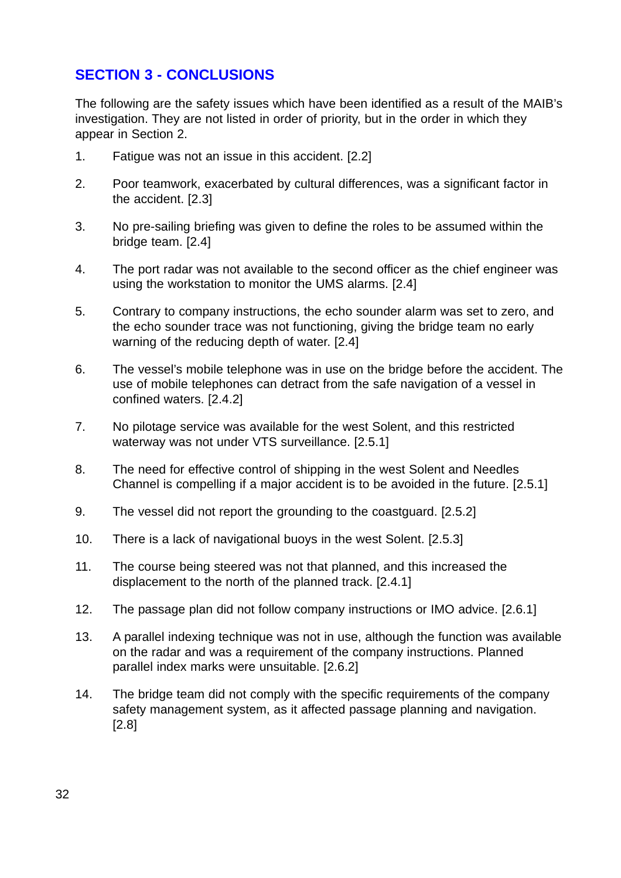# <span id="page-36-0"></span>**[SECTION 3 - CONCLUSIONS](#page-3-0)**

The following are the safety issues which have been identified as a result of the MAIB's investigation. They are not listed in order of priority, but in the order in which they appear in Section 2.

- 1. Fatigue was not an issue in this accident. [2.2]
- 2. Poor teamwork, exacerbated by cultural differences, was a significant factor in the accident. [2.3]
- 3. No pre-sailing briefing was given to define the roles to be assumed within the bridge team. [2.4]
- 4. The port radar was not available to the second officer as the chief engineer was using the workstation to monitor the UMS alarms. [2.4]
- 5. Contrary to company instructions, the echo sounder alarm was set to zero, and the echo sounder trace was not functioning, giving the bridge team no early warning of the reducing depth of water. [2.4]
- 6. The vessel's mobile telephone was in use on the bridge before the accident. The use of mobile telephones can detract from the safe navigation of a vessel in confined waters. [2.4.2]
- 7. No pilotage service was available for the west Solent, and this restricted waterway was not under VTS surveillance. [2.5.1]
- 8. The need for effective control of shipping in the west Solent and Needles Channel is compelling if a major accident is to be avoided in the future. [2.5.1]
- 9. The vessel did not report the grounding to the coastguard. [2.5.2]
- 10. There is a lack of navigational buoys in the west Solent. [2.5.3]
- 11. The course being steered was not that planned, and this increased the displacement to the north of the planned track. [2.4.1]
- 12. The passage plan did not follow company instructions or IMO advice. [2.6.1]
- 13. A parallel indexing technique was not in use, although the function was available on the radar and was a requirement of the company instructions. Planned parallel index marks were unsuitable. [2.6.2]
- 14. The bridge team did not comply with the specific requirements of the company safety management system, as it affected passage planning and navigation. [2.8]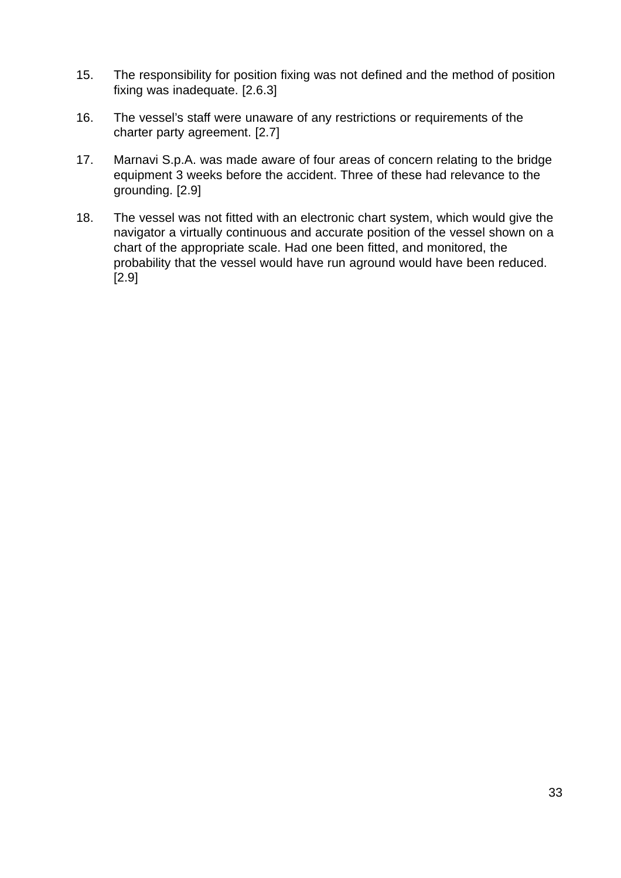- 15. The responsibility for position fixing was not defined and the method of position fixing was inadequate. [2.6.3]
- 16. The vessel's staff were unaware of any restrictions or requirements of the charter party agreement. [2.7]
- 17. Marnavi S.p.A. was made aware of four areas of concern relating to the bridge equipment 3 weeks before the accident. Three of these had relevance to the grounding. [2.9]
- 18. The vessel was not fitted with an electronic chart system, which would give the navigator a virtually continuous and accurate position of the vessel shown on a chart of the appropriate scale. Had one been fitted, and monitored, the probability that the vessel would have run aground would have been reduced. [2.9]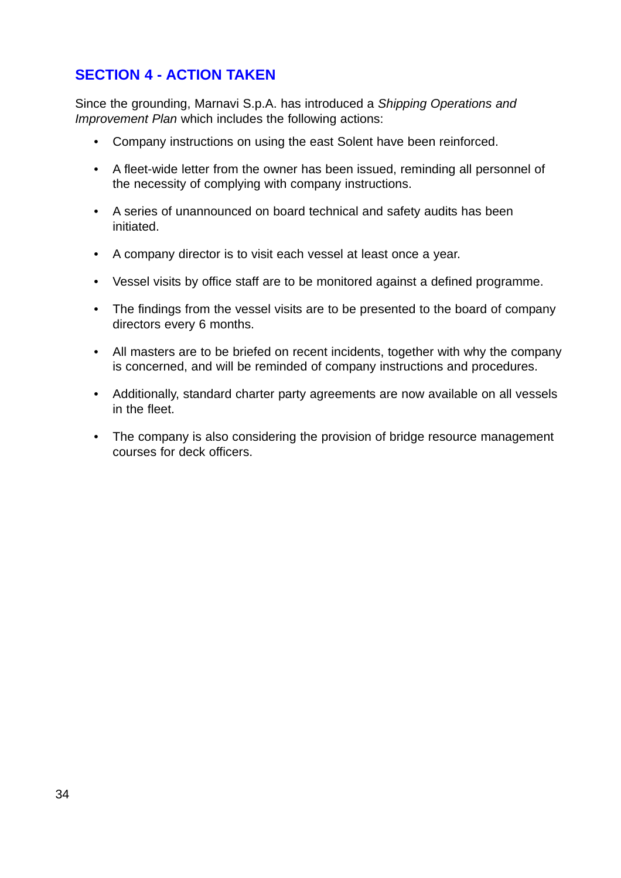# <span id="page-38-0"></span>**SECTION 4 - [ACTION TAKEN](#page-3-0)**

Since the grounding, Marnavi S.p.A. has introduced a *Shipping Operations and Improvement Plan* which includes the following actions:

- Company instructions on using the east Solent have been reinforced.
- A fleet-wide letter from the owner has been issued, reminding all personnel of the necessity of complying with company instructions.
- A series of unannounced on board technical and safety audits has been initiated.
- A company director is to visit each vessel at least once a year.
- Vessel visits by office staff are to be monitored against a defined programme.
- The findings from the vessel visits are to be presented to the board of company directors every 6 months.
- All masters are to be briefed on recent incidents, together with why the company is concerned, and will be reminded of company instructions and procedures.
- Additionally, standard charter party agreements are now available on all vessels in the fleet.
- The company is also considering the provision of bridge resource management courses for deck officers.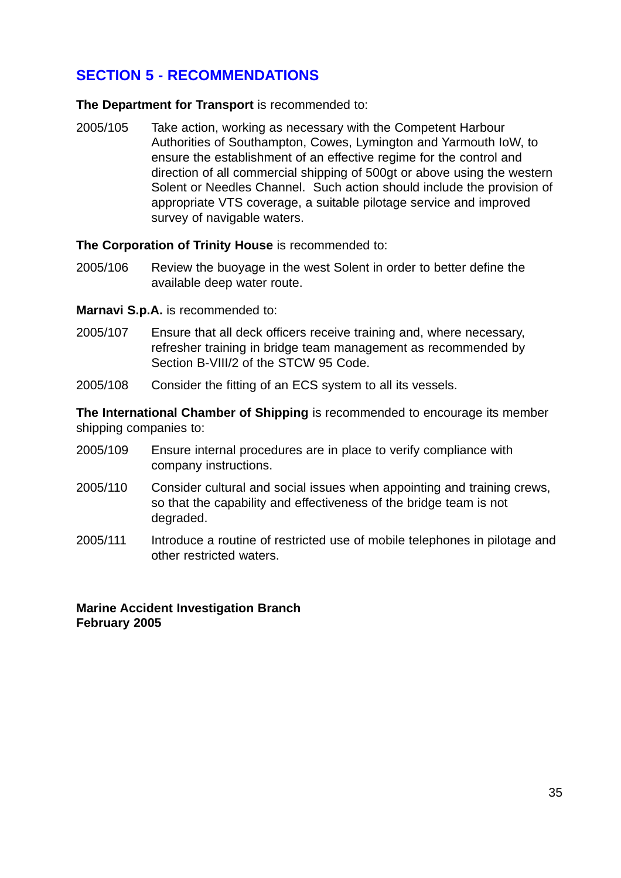# <span id="page-39-0"></span>**[SECTION 5 - RECOMMENDATIONS](#page-3-0)**

**The Department for Transport** is recommended to:

2005/105 Take action, working as necessary with the Competent Harbour Authorities of Southampton, Cowes, Lymington and Yarmouth IoW, to ensure the establishment of an effective regime for the control and direction of all commercial shipping of 500gt or above using the western Solent or Needles Channel. Such action should include the provision of appropriate VTS coverage, a suitable pilotage service and improved survey of navigable waters.

**The Corporation of Trinity House** is recommended to:

2005/106 Review the buoyage in the west Solent in order to better define the available deep water route.

**Marnavi S.p.A.** is recommended to:

- 2005/107 Ensure that all deck officers receive training and, where necessary, refresher training in bridge team management as recommended by Section B-VIII/2 of the STCW 95 Code.
- 2005/108 Consider the fitting of an ECS system to all its vessels.

**The International Chamber of Shipping** is recommended to encourage its member shipping companies to:

- 2005/109 Ensure internal procedures are in place to verify compliance with company instructions.
- 2005/110 Consider cultural and social issues when appointing and training crews, so that the capability and effectiveness of the bridge team is not degraded.
- 2005/111 Introduce a routine of restricted use of mobile telephones in pilotage and other restricted waters.

**Marine Accident Investigation Branch February 2005**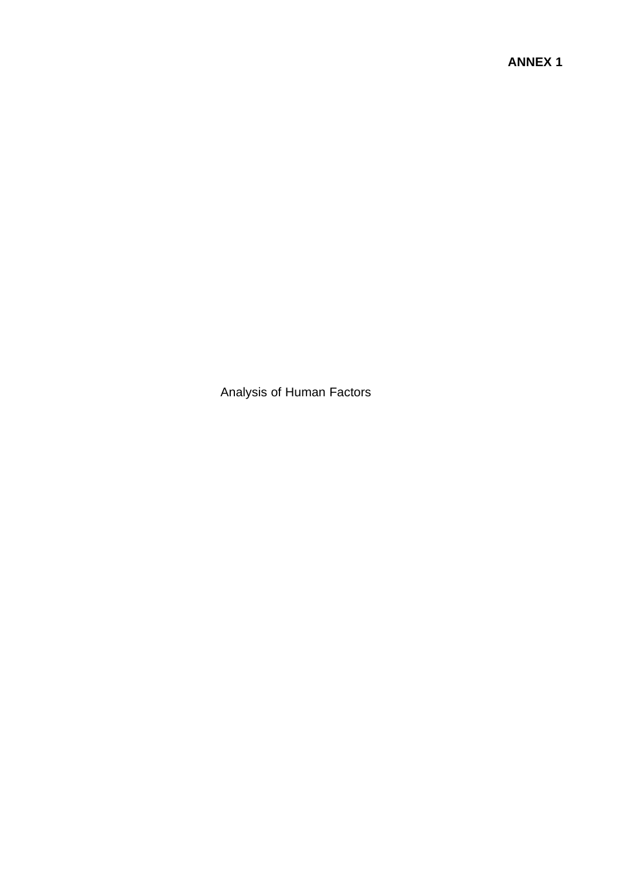Analysis of Human Factors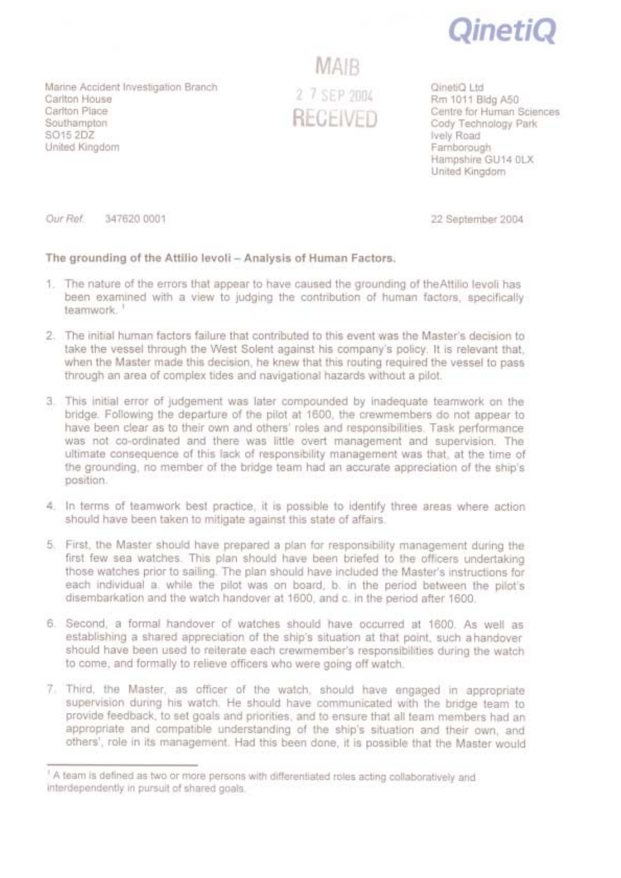

Marine Accident Investigation Branch Carlton House Carlton Place Southampton SO15 2DZ United Kingdom

MAIB 2 7 SEP 2004 **RECEIVED** 

OinetiO Ltd. Rm 1011 Bldg A50 Centre for Human Sciences Cody Technology Park Ively Road Farnborough Hampshire GU14 OLX United Kingdom

Our Ref. 347620 0001 22 September 2004

#### The grounding of the Attilio levoli - Analysis of Human Factors.

- 1. The nature of the errors that appear to have caused the grounding of the Attilio levoli has been examined with a view to judging the contribution of human factors, specifically teamwork.<sup>1</sup>
- 2. The initial human factors failure that contributed to this event was the Master's decision to take the vessel through the West Solent against his company's policy. It is relevant that, when the Master made this decision, he knew that this routing required the vessel to pass through an area of complex tides and navigational hazards without a pilot.
- 3. This initial error of judgement was later compounded by inadequate teamwork on the bridge. Following the departure of the pilot at 1600, the crewmembers do not appear to have been clear as to their own and others' roles and responsibilities. Task performance was not co-ordinated and there was little overt management and supervision. The ultimate consequence of this lack of responsibility management was that, at the time of the grounding, no member of the bridge team had an accurate appreciation of the ship's position.
- 4. In terms of teamwork best practice, it is possible to identify three areas where action should have been taken to mitigate against this state of affairs.
- 5. First, the Master should have prepared a plan for responsibility management during the first few sea watches. This plan should have been briefed to the officers undertaking those watches prior to sailing. The plan should have included the Master's instructions for each individual a. while the pilot was on board, b. in the period between the pilot's disembarkation and the watch handover at 1600, and c. in the period after 1600.
- 6. Second, a formal handover of watches should have occurred at 1600. As well as establishing a shared appreciation of the ship's situation at that point, such a handover should have been used to reiterate each crewmember's responsibilities during the watch to come, and formally to relieve officers who were going off watch.
- 7. Third, the Master, as officer of the watch, should have engaged in appropriate supervision during his watch. He should have communicated with the bridge team to provide feedback, to set goals and priorities, and to ensure that all team members had an appropriate and compatible understanding of the ship's situation and their own, and others', role in its management. Had this been done, it is possible that the Master would

A team is defined as two or more persons with differentiated roles acting collaboratively and interdependently in pursuit of shared goals.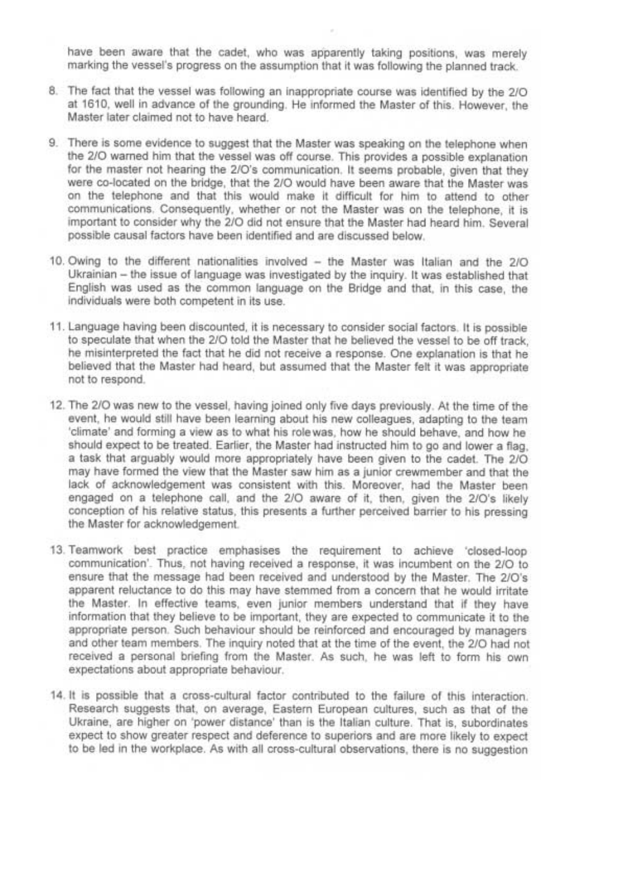have been aware that the cadet, who was apparently taking positions, was merely marking the vessel's progress on the assumption that it was following the planned track.

- 8. The fact that the vessel was following an inappropriate course was identified by the 2/O at 1610, well in advance of the grounding. He informed the Master of this. However, the Master later claimed not to have heard.
- 9. There is some evidence to suggest that the Master was speaking on the telephone when the 2/O warned him that the vessel was off course. This provides a possible explanation for the master not hearing the 2/O's communication. It seems probable, given that they were co-located on the bridge, that the 2/O would have been aware that the Master was on the telephone and that this would make it difficult for him to attend to other communications. Consequently, whether or not the Master was on the telephone, it is important to consider why the 2/O did not ensure that the Master had heard him. Several possible causal factors have been identified and are discussed below.
- 10. Owing to the different nationalities involved the Master was Italian and the 2/O Ukrainian - the issue of language was investigated by the inquiry. It was established that English was used as the common language on the Bridge and that, in this case, the individuals were both competent in its use.
- 11. Language having been discounted, it is necessary to consider social factors. It is possible to speculate that when the 2/O told the Master that he believed the vessel to be off track. he misinterpreted the fact that he did not receive a response. One explanation is that he believed that the Master had heard, but assumed that the Master felt it was appropriate not to respond.
- 12. The 2/O was new to the vessel, having joined only five days previously. At the time of the event, he would still have been learning about his new colleagues, adapting to the team 'climate' and forming a view as to what his role was, how he should behave, and how he should expect to be treated. Earlier, the Master had instructed him to go and lower a flag. a task that arguably would more appropriately have been given to the cadet. The 2/O may have formed the view that the Master saw him as a junior crewmember and that the lack of acknowledgement was consistent with this. Moreover, had the Master been engaged on a telephone call, and the 2/O aware of it, then, given the 2/O's likely conception of his relative status, this presents a further perceived barrier to his pressing the Master for acknowledgement.
- 13. Teamwork best practice emphasises the requirement to achieve 'closed-loop communication'. Thus, not having received a response, it was incumbent on the 2/O to ensure that the message had been received and understood by the Master. The 2/O's apparent reluctance to do this may have stemmed from a concern that he would irritate the Master. In effective teams, even junior members understand that if they have information that they believe to be important, they are expected to communicate it to the appropriate person. Such behaviour should be reinforced and encouraged by managers and other team members. The inquiry noted that at the time of the event, the 2/O had not received a personal briefing from the Master. As such, he was left to form his own expectations about appropriate behaviour.
- 14. It is possible that a cross-cultural factor contributed to the failure of this interaction. Research suggests that, on average, Eastern European cultures, such as that of the Ukraine, are higher on 'power distance' than is the Italian culture. That is, subordinates expect to show greater respect and deference to superiors and are more likely to expect to be led in the workplace. As with all cross-cultural observations, there is no suggestion